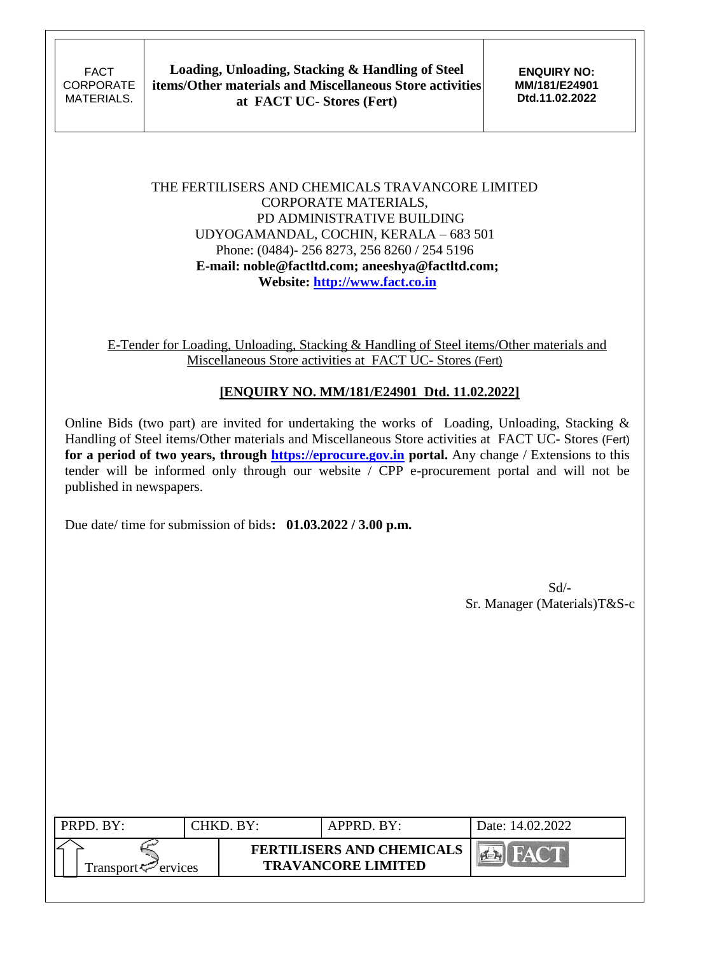### THE FERTILISERS AND CHEMICALS TRAVANCORE LIMITED CORPORATE MATERIALS, PD ADMINISTRATIVE BUILDING UDYOGAMANDAL, COCHIN, KERALA – 683 501 Phone: (0484)- 256 8273, 256 8260 / 254 5196 **E-mail: noble@factltd.com; aneeshya@factltd.com; Website: [http://www.fact.co.in](http://www.fact.co.in/)**

E-Tender for Loading, Unloading, Stacking & Handling of Steel items/Other materials and Miscellaneous Store activities at FACT UC- Stores (Fert)

# **[ENQUIRY NO. MM/181/E24901 Dtd. 11.02.2022]**

Online Bids (two part) are invited for undertaking the works of Loading, Unloading, Stacking & Handling of Steel items/Other materials and Miscellaneous Store activities at FACT UC- Stores (Fert) for a period of two years, through **https://eprocure.gov.in** portal. Any change / Extensions to this tender will be informed only through our website / CPP e-procurement portal and will not be published in newspapers.

Due date/ time for submission of bids**: 01.03.2022 / 3.00 p.m.**

Sd/- Sr. Manager (Materials)T&S-c

| PRPD. BY:                      | CHKD. BY: | APPRD. BY:                                                    | Date: 14.02.2022 |
|--------------------------------|-----------|---------------------------------------------------------------|------------------|
| Transport <sup>7</sup> ervices |           | <b>FERTILISERS AND CHEMICALS</b><br><b>TRAVANCORE LIMITED</b> |                  |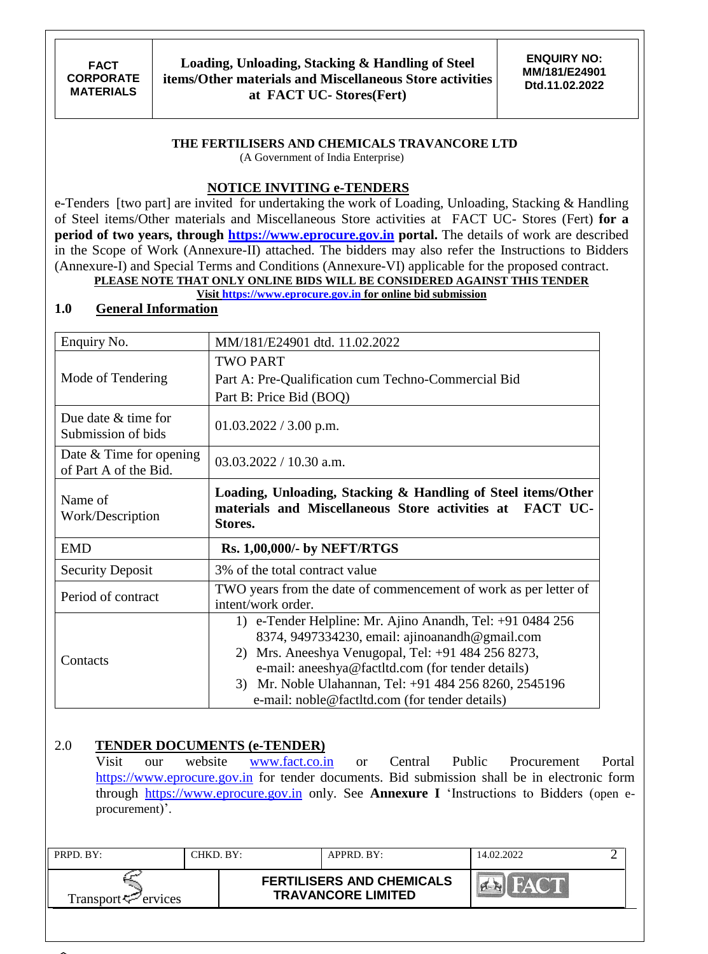### **THE FERTILISERS AND CHEMICALS TRAVANCORE LTD**

(A Government of India Enterprise)

# **NOTICE INVITING e-TENDERS**

e-Tenders [two part] are invited for undertaking the work of Loading, Unloading, Stacking & Handling of Steel items/Other materials and Miscellaneous Store activities at FACT UC- Stores (Fert) **for a period of two years, through [https://www.eprocure.gov.in](https://www.eprocure.gov.in/) portal.** The details of work are described in the Scope of Work (Annexure-II) attached. The bidders may also refer the Instructions to Bidders (Annexure-I) and Special Terms and Conditions (Annexure-VI) applicable for the proposed contract. **PLEASE NOTE THAT ONLY ONLINE BIDS WILL BE CONSIDERED AGAINST THIS TENDER**

### **Visit [https://www.eprocure.gov.in](https://www.eprocure.gov.in/) for online bid submission**

# **1.0 General Information**

| Enquiry No.                                        | MM/181/E24901 dtd. 11.02.2022                                                                                                                                                                                                                                                                                                      |
|----------------------------------------------------|------------------------------------------------------------------------------------------------------------------------------------------------------------------------------------------------------------------------------------------------------------------------------------------------------------------------------------|
|                                                    | <b>TWO PART</b>                                                                                                                                                                                                                                                                                                                    |
| Mode of Tendering                                  | Part A: Pre-Qualification cum Techno-Commercial Bid                                                                                                                                                                                                                                                                                |
|                                                    | Part B: Price Bid (BOQ)                                                                                                                                                                                                                                                                                                            |
| Due date & time for<br>Submission of bids          | $01.03.2022 / 3.00$ p.m.                                                                                                                                                                                                                                                                                                           |
| Date $&$ Time for opening<br>of Part A of the Bid. | $03.03.2022 / 10.30$ a.m.                                                                                                                                                                                                                                                                                                          |
| Name of<br>Work/Description                        | Loading, Unloading, Stacking & Handling of Steel items/Other<br>materials and Miscellaneous Store activities at FACT UC-<br>Stores.                                                                                                                                                                                                |
| <b>EMD</b>                                         | <b>Rs. 1,00,000/- by NEFT/RTGS</b>                                                                                                                                                                                                                                                                                                 |
| <b>Security Deposit</b>                            | 3% of the total contract value                                                                                                                                                                                                                                                                                                     |
| Period of contract                                 | TWO years from the date of commencement of work as per letter of<br>intent/work order.                                                                                                                                                                                                                                             |
| Contacts                                           | 1) e-Tender Helpline: Mr. Ajino Anandh, Tel: +91 0484 256<br>8374, 9497334230, email: ajinoanandh@gmail.com<br>2) Mrs. Aneeshya Venugopal, Tel: +91 484 256 8273,<br>e-mail: aneeshya@factltd.com (for tender details)<br>3) Mr. Noble Ulahannan, Tel: +91 484 256 8260, 2545196<br>e-mail: noble@factItd.com (for tender details) |

### 2.0 **TENDER DOCUMENTS (e-TENDER)**

Visit our website [www.fact.co.in](http://www.fact.co.in/) or Central Public Procurement Portal [https://www.eprocure.gov.in](https://www.eprocure.gov.in/) for tender documents. Bid submission shall be in electronic form through [https://www.eprocure.gov.in](https://www.eprocure.gov.in/) only. See **Annexure I** "Instructions to Bidders (open eprocurement)'.

| PRPD. BY:                      | CHKD. BY:- | APPRD. BY:                                                    | 14.02.2022    |  |
|--------------------------------|------------|---------------------------------------------------------------|---------------|--|
| Transport <sup>2</sup> ervices |            | <b>FERTILISERS AND CHEMICALS</b><br><b>TRAVANCORE LIMITED</b> | <b>CALLES</b> |  |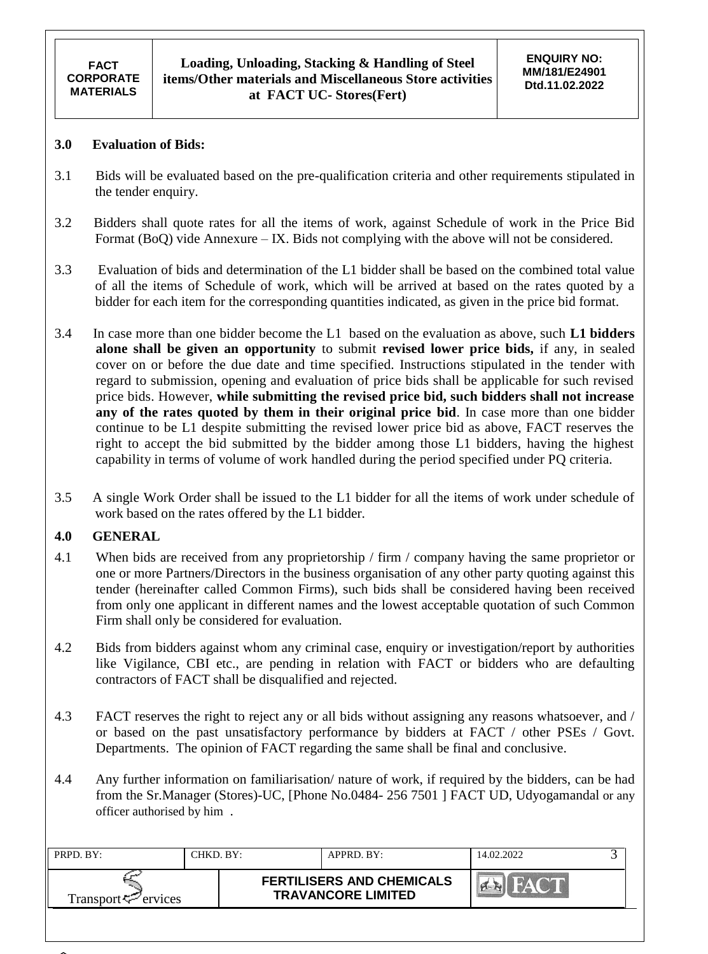### **3.0 Evaluation of Bids:**

- 3.1 Bids will be evaluated based on the pre-qualification criteria and other requirements stipulated in the tender enquiry.
- 3.2 Bidders shall quote rates for all the items of work, against Schedule of work in the Price Bid Format (BoQ) vide Annexure – IX. Bids not complying with the above will not be considered.
- 3.3 Evaluation of bids and determination of the L1 bidder shall be based on the combined total value of all the items of Schedule of work, which will be arrived at based on the rates quoted by a bidder for each item for the corresponding quantities indicated, as given in the price bid format.
- 3.4 In case more than one bidder become the L1 based on the evaluation as above, such **L1 bidders alone shall be given an opportunity** to submit **revised lower price bids,** if any, in sealed cover on or before the due date and time specified. Instructions stipulated in the tender with regard to submission, opening and evaluation of price bids shall be applicable for such revised price bids. However, **while submitting the revised price bid, such bidders shall not increase any of the rates quoted by them in their original price bid**. In case more than one bidder continue to be L1 despite submitting the revised lower price bid as above, FACT reserves the right to accept the bid submitted by the bidder among those L1 bidders, having the highest capability in terms of volume of work handled during the period specified under PQ criteria.
- 3.5 A single Work Order shall be issued to the L1 bidder for all the items of work under schedule of work based on the rates offered by the L1 bidder.

### **4.0 GENERAL**

- 4.1 When bids are received from any proprietorship / firm / company having the same proprietor or one or more Partners/Directors in the business organisation of any other party quoting against this tender (hereinafter called Common Firms), such bids shall be considered having been received from only one applicant in different names and the lowest acceptable quotation of such Common Firm shall only be considered for evaluation.
- 4.2 Bids from bidders against whom any criminal case, enquiry or investigation/report by authorities like Vigilance, CBI etc., are pending in relation with FACT or bidders who are defaulting contractors of FACT shall be disqualified and rejected.
- 4.3 FACT reserves the right to reject any or all bids without assigning any reasons whatsoever, and / or based on the past unsatisfactory performance by bidders at FACT / other PSEs / Govt. Departments. The opinion of FACT regarding the same shall be final and conclusive.
- 4.4 Any further information on familiarisation/ nature of work, if required by the bidders, can be had from the Sr.Manager (Stores)-UC, [Phone No.0484- 256 7501 ] FACT UD, Udyogamandal or any officer authorised by him .

| PRPD. BY:                                      | CHKD. BY: | APPRD. BY:                                                    | 14.02.2022 |  |
|------------------------------------------------|-----------|---------------------------------------------------------------|------------|--|
| Transport <sup><math>\leq</math></sup> ervices |           | <b>FERTILISERS AND CHEMICALS</b><br><b>TRAVANCORE LIMITED</b> |            |  |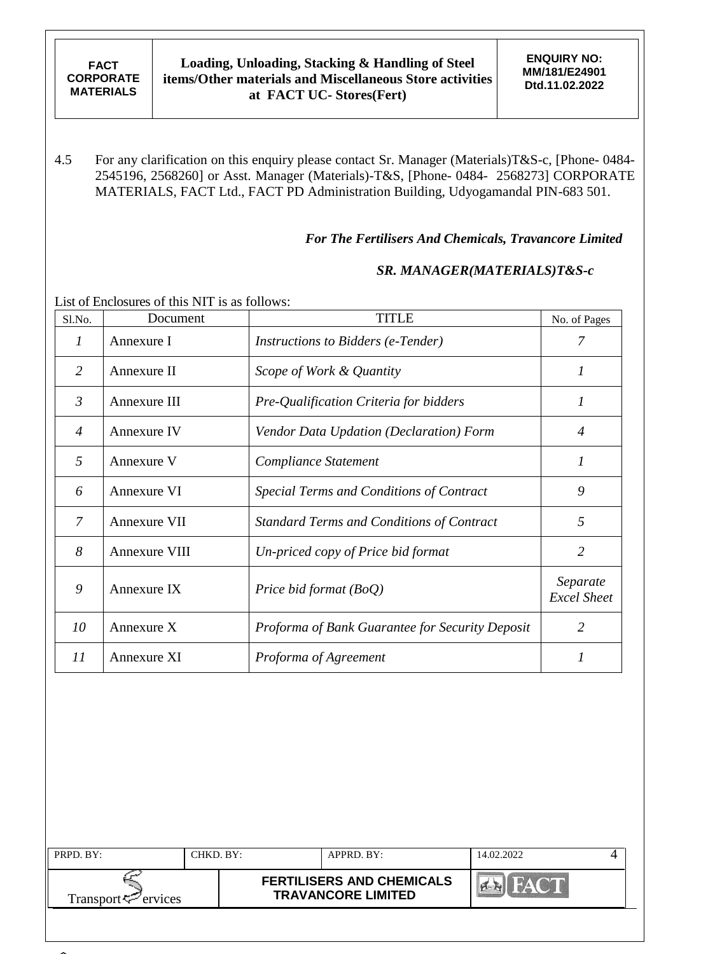4.5 For any clarification on this enquiry please contact Sr. Manager (Materials)T&S-c, [Phone- 0484- 2545196, 2568260] or Asst. Manager (Materials)-T&S, [Phone- 0484- 2568273] CORPORATE MATERIALS, FACT Ltd., FACT PD Administration Building, Udyogamandal PIN-683 501.

### *For The Fertilisers And Chemicals, Travancore Limited*

### *SR. MANAGER(MATERIALS)T&S-c*

List of Enclosures of this NIT is as follows:

| Sl.No.         | Document      | <b>TITLE</b>                                     | No. of Pages                   |
|----------------|---------------|--------------------------------------------------|--------------------------------|
| 1              | Annexure I    | <i>Instructions to Bidders (e-Tender)</i>        |                                |
| 2              | Annexure II   | Scope of Work & Quantity                         |                                |
| $\mathfrak{Z}$ | Annexure III  | Pre-Qualification Criteria for bidders           | 1                              |
| $\overline{4}$ | Annexure IV   | Vendor Data Updation (Declaration) Form          | $\overline{4}$                 |
| 5              | Annexure V    | Compliance Statement                             | 1                              |
| 6              | Annexure VI   | Special Terms and Conditions of Contract         | 9                              |
| 7              | Annexure VII  | <b>Standard Terms and Conditions of Contract</b> | 5                              |
| 8              | Annexure VIII | Un-priced copy of Price bid format               | 2                              |
| 9              | Annexure IX   | Price bid format $(BoQ)$                         | Separate<br><b>Excel Sheet</b> |
| 10             | Annexure X    | Proforma of Bank Guarantee for Security Deposit  | $\overline{2}$                 |
| 11             | Annexure XI   | Proforma of Agreement                            |                                |

| PRPD. BY:                       | CHKD. BY: | APPRD. BY:                                                    | 14.02.2022 |  |
|---------------------------------|-----------|---------------------------------------------------------------|------------|--|
| Transport <sup>ry</sup> ervices |           | <b>FERTILISERS AND CHEMICALS</b><br><b>TRAVANCORE LIMITED</b> |            |  |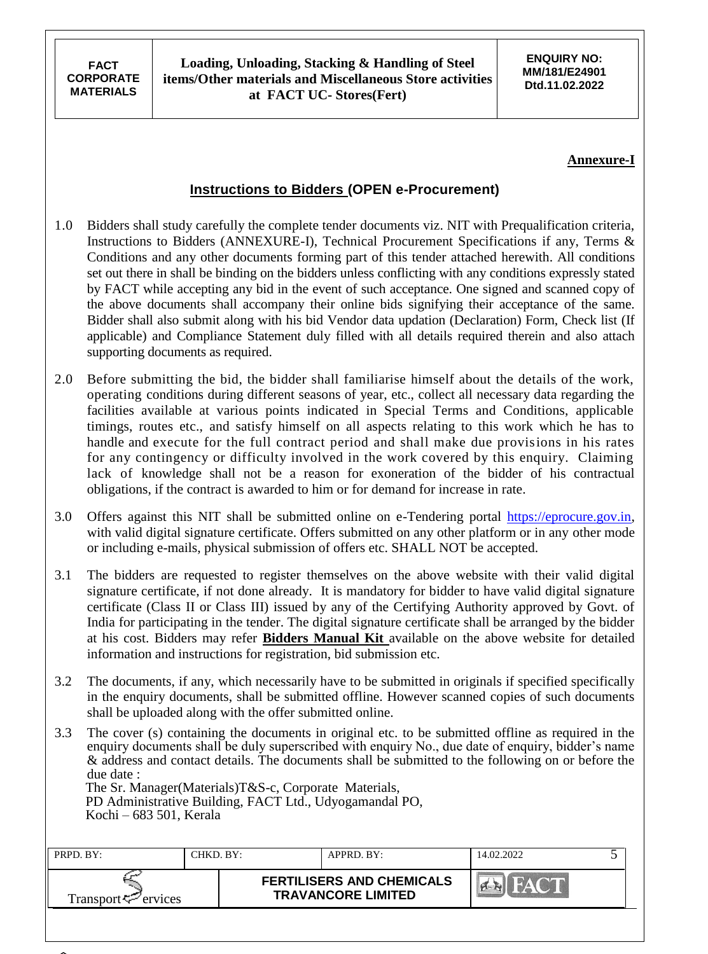### **Annexure-I**

# **Instructions to Bidders (OPEN e-Procurement)**

- 1.0 Bidders shall study carefully the complete tender documents viz. NIT with Prequalification criteria, Instructions to Bidders (ANNEXURE-I), Technical Procurement Specifications if any, Terms & Conditions and any other documents forming part of this tender attached herewith. All conditions set out there in shall be binding on the bidders unless conflicting with any conditions expressly stated by FACT while accepting any bid in the event of such acceptance. One signed and scanned copy of the above documents shall accompany their online bids signifying their acceptance of the same. Bidder shall also submit along with his bid Vendor data updation (Declaration) Form, Check list (If applicable) and Compliance Statement duly filled with all details required therein and also attach supporting documents as required.
- 2.0 Before submitting the bid, the bidder shall familiarise himself about the details of the work, operating conditions during different seasons of year, etc., collect all necessary data regarding the facilities available at various points indicated in Special Terms and Conditions, applicable timings, routes etc., and satisfy himself on all aspects relating to this work which he has to handle and execute for the full contract period and shall make due provisions in his rates for any contingency or difficulty involved in the work covered by this enquiry. Claiming lack of knowledge shall not be a reason for exoneration of the bidder of his contractual obligations, if the contract is awarded to him or for demand for increase in rate.
- 3.0 Offers against this NIT shall be submitted online on e-Tendering portal [https://eprocure.gov.in,](https://eprocure.gov.in/) with valid digital signature certificate. Offers submitted on any other platform or in any other mode or including e-mails, physical submission of offers etc. SHALL NOT be accepted.
- 3.1 The bidders are requested to register themselves on the above website with their valid digital signature certificate, if not done already. It is mandatory for bidder to have valid digital signature certificate (Class II or Class III) issued by any of the Certifying Authority approved by Govt. of India for participating in the tender. The digital signature certificate shall be arranged by the bidder at his cost. Bidders may refer **Bidders Manual Kit** available on the above website for detailed information and instructions for registration, bid submission etc.
- 3.2 The documents, if any, which necessarily have to be submitted in originals if specified specifically in the enquiry documents, shall be submitted offline. However scanned copies of such documents shall be uploaded along with the offer submitted online.
- 3.3 The cover (s) containing the documents in original etc. to be submitted offline as required in the enquiry documents shall be duly superscribed with enquiry No., due date of enquiry, bidder"s name & address and contact details. The documents shall be submitted to the following on or before the due date : The Sr. Manager(Materials)T&S-c, Corporate Materials,

 PD Administrative Building, FACT Ltd., Udyogamandal PO, Kochi – 683 501, Kerala

| PRPD. BY:                   | CHKD. BY: | APPRD. BY:                                                    | 14.02.2022 |  |
|-----------------------------|-----------|---------------------------------------------------------------|------------|--|
| Transport $\approx$ ervices |           | <b>FERTILISERS AND CHEMICALS</b><br><b>TRAVANCORE LIMITED</b> |            |  |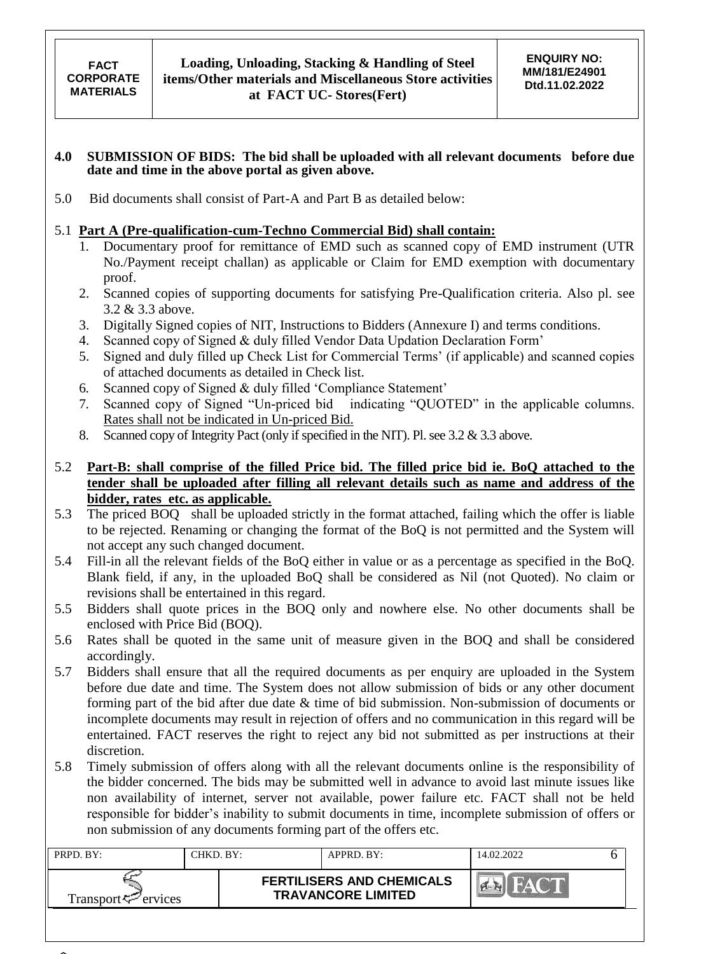#### **4.0 SUBMISSION OF BIDS: The bid shall be uploaded with all relevant documents before due date and time in the above portal as given above.**

5.0 Bid documents shall consist of Part-A and Part B as detailed below:

### 5.1 **Part A (Pre-qualification-cum-Techno Commercial Bid) shall contain:**

- 1. Documentary proof for remittance of EMD such as scanned copy of EMD instrument (UTR No./Payment receipt challan) as applicable or Claim for EMD exemption with documentary proof.
- 2. Scanned copies of supporting documents for satisfying Pre-Qualification criteria. Also pl. see 3.2 & 3.3 above.
- 3. Digitally Signed copies of NIT, Instructions to Bidders (Annexure I) and terms conditions.
- 4. Scanned copy of Signed & duly filled Vendor Data Updation Declaration Form"
- 5. Signed and duly filled up Check List for Commercial Terms' (if applicable) and scanned copies of attached documents as detailed in Check list.
- 6. Scanned copy of Signed & duly filled "Compliance Statement"
- 7. Scanned copy of Signed "Un-priced bid indicating "QUOTED" in the applicable columns. Rates shall not be indicated in Un-priced Bid.
- 8. Scanned copy of Integrity Pact (only if specified in the NIT). Pl. see 3.2 & 3.3 above.

### 5.2 **Part-B: shall comprise of the filled Price bid. The filled price bid ie. BoQ attached to the tender shall be uploaded after filling all relevant details such as name and address of the bidder, rates etc. as applicable.**

- 5.3 The priced BOQ shall be uploaded strictly in the format attached, failing which the offer is liable to be rejected. Renaming or changing the format of the BoQ is not permitted and the System will not accept any such changed document.
- 5.4 Fill-in all the relevant fields of the BoQ either in value or as a percentage as specified in the BoQ. Blank field, if any, in the uploaded BoQ shall be considered as Nil (not Quoted). No claim or revisions shall be entertained in this regard.
- 5.5 Bidders shall quote prices in the BOQ only and nowhere else. No other documents shall be enclosed with Price Bid (BOQ).
- 5.6 Rates shall be quoted in the same unit of measure given in the BOQ and shall be considered accordingly.
- 5.7 Bidders shall ensure that all the required documents as per enquiry are uploaded in the System before due date and time. The System does not allow submission of bids or any other document forming part of the bid after due date & time of bid submission. Non-submission of documents or incomplete documents may result in rejection of offers and no communication in this regard will be entertained. FACT reserves the right to reject any bid not submitted as per instructions at their discretion.
- 5.8 Timely submission of offers along with all the relevant documents online is the responsibility of the bidder concerned. The bids may be submitted well in advance to avoid last minute issues like non availability of internet, server not available, power failure etc. FACT shall not be held responsible for bidder"s inability to submit documents in time, incomplete submission of offers or non submission of any documents forming part of the offers etc.

| PRPD. BY:           | 'HKD. BY:- | APPRD. BY:                                                    | 14.02.2022 |  |
|---------------------|------------|---------------------------------------------------------------|------------|--|
| Transport <∠ervices |            | <b>FERTILISERS AND CHEMICALS</b><br><b>TRAVANCORE LIMITED</b> |            |  |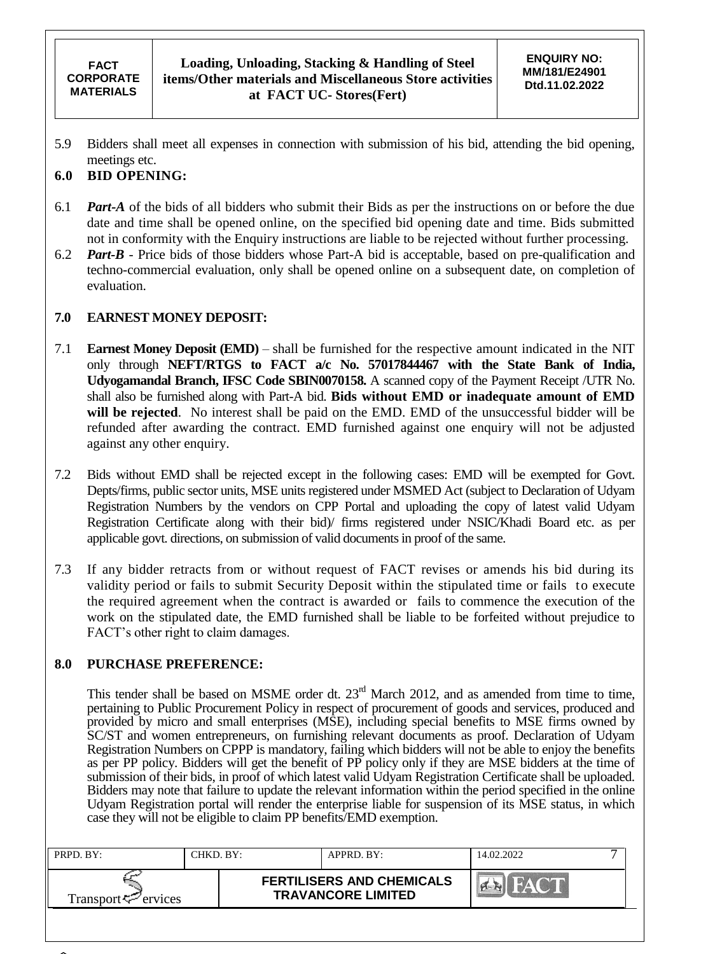5.9 Bidders shall meet all expenses in connection with submission of his bid, attending the bid opening, meetings etc.

### **6.0 BID OPENING:**

- 6.1 *Part-A* of the bids of all bidders who submit their Bids as per the instructions on or before the due date and time shall be opened online, on the specified bid opening date and time. Bids submitted not in conformity with the Enquiry instructions are liable to be rejected without further processing.
- 6.2 *Part-B* Price bids of those bidders whose Part-A bid is acceptable, based on pre-qualification and techno-commercial evaluation, only shall be opened online on a subsequent date, on completion of evaluation.

### **7.0 EARNEST MONEY DEPOSIT:**

- 7.1 **Earnest Money Deposit (EMD)** shall be furnished for the respective amount indicated in the NIT only through **NEFT/RTGS to FACT a/c No. 57017844467 with the State Bank of India, Udyogamandal Branch, IFSC Code SBIN0070158.** A scanned copy of the Payment Receipt /UTR No. shall also be furnished along with Part-A bid. **Bids without EMD or inadequate amount of EMD will be rejected**. No interest shall be paid on the EMD. EMD of the unsuccessful bidder will be refunded after awarding the contract. EMD furnished against one enquiry will not be adjusted against any other enquiry.
- 7.2 Bids without EMD shall be rejected except in the following cases: EMD will be exempted for Govt. Depts/firms, public sector units, MSE units registered under MSMED Act (subject to Declaration of Udyam Registration Numbers by the vendors on CPP Portal and uploading the copy of latest valid Udyam Registration Certificate along with their bid)/ firms registered under NSIC/Khadi Board etc. as per applicable govt. directions, on submission of valid documents in proof of the same.
- 7.3 If any bidder retracts from or without request of FACT revises or amends his bid during its validity period or fails to submit Security Deposit within the stipulated time or fails to execute the required agreement when the contract is awarded or fails to commence the execution of the work on the stipulated date, the EMD furnished shall be liable to be forfeited without prejudice to FACT's other right to claim damages.

#### **8.0 PURCHASE PREFERENCE:**

This tender shall be based on MSME order dt. 23<sup>rd</sup> March 2012, and as amended from time to time, pertaining to Public Procurement Policy in respect of procurement of goods and services, produced and provided by micro and small enterprises (MSE), including special benefits to MSE firms owned by SC/ST and women entrepreneurs, on furnishing relevant documents as proof. Declaration of Udyam Registration Numbers on CPPP is mandatory, failing which bidders will not be able to enjoy the benefits as per PP policy. Bidders will get the benefit of PP policy only if they are MSE bidders at the time of submission of their bids, in proof of which latest valid Udyam Registration Certificate shall be uploaded. Bidders may note that failure to update the relevant information within the period specified in the online Udyam Registration portal will render the enterprise liable for suspension of its MSE status, in which case they will not be eligible to claim PP benefits/EMD exemption.

| PRPD. BY:                     | "HKD. BY: | APPRD. BY:                                                    | 14.02.2022 |  |
|-------------------------------|-----------|---------------------------------------------------------------|------------|--|
| $Transport \leq \leq$ ervices |           | <b>FERTILISERS AND CHEMICALS</b><br><b>TRAVANCORE LIMITED</b> |            |  |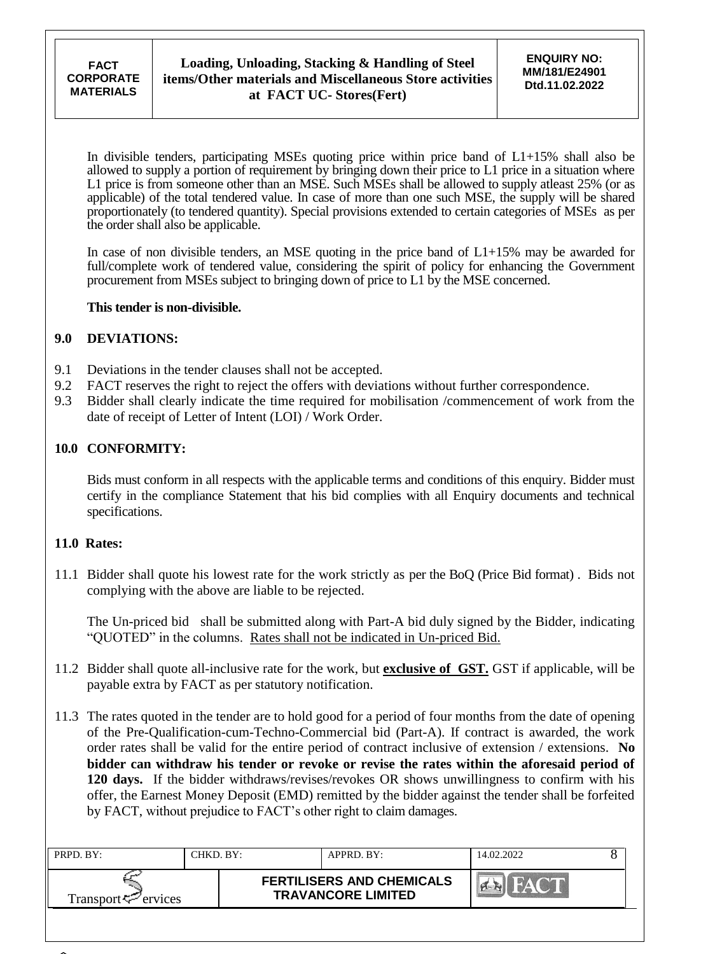In divisible tenders, participating MSEs quoting price within price band of L1+15% shall also be allowed to supply a portion of requirement by bringing down their price to L1 price in a situation where L1 price is from someone other than an MSE. Such MSEs shall be allowed to supply atleast 25% (or as applicable) of the total tendered value. In case of more than one such MSE, the supply will be shared proportionately (to tendered quantity). Special provisions extended to certain categories of MSEs as per the order shall also be applicable.

In case of non divisible tenders, an MSE quoting in the price band of  $L1+15\%$  may be awarded for full/complete work of tendered value, considering the spirit of policy for enhancing the Government procurement from MSEs subject to bringing down of price to L1 by the MSE concerned.

#### **This tender is non-divisible.**

### **9.0 DEVIATIONS:**

- 9.1 Deviations in the tender clauses shall not be accepted.
- 9.2 FACT reserves the right to reject the offers with deviations without further correspondence.
- 9.3 Bidder shall clearly indicate the time required for mobilisation /commencement of work from the date of receipt of Letter of Intent (LOI) / Work Order.

### **10.0 CONFORMITY:**

Bids must conform in all respects with the applicable terms and conditions of this enquiry. Bidder must certify in the compliance Statement that his bid complies with all Enquiry documents and technical specifications.

#### **11.0 Rates:**

11.1 Bidder shall quote his lowest rate for the work strictly as per the BoQ (Price Bid format) . Bids not complying with the above are liable to be rejected.

The Un-priced bid shall be submitted along with Part-A bid duly signed by the Bidder, indicating "QUOTED" in the columns. Rates shall not be indicated in Un-priced Bid.

- 11.2 Bidder shall quote all-inclusive rate for the work, but **exclusive of GST.** GST if applicable, will be payable extra by FACT as per statutory notification.
- 11.3 The rates quoted in the tender are to hold good for a period of four months from the date of opening of the Pre-Qualification-cum-Techno-Commercial bid (Part-A). If contract is awarded, the work order rates shall be valid for the entire period of contract inclusive of extension / extensions. **No bidder can withdraw his tender or revoke or revise the rates within the aforesaid period of 120 days.** If the bidder withdraws/revises/revokes OR shows unwillingness to confirm with his offer, the Earnest Money Deposit (EMD) remitted by the bidder against the tender shall be forfeited by FACT, without prejudice to FACT"s other right to claim damages.

| PRPD. BY:                   | CHKD. BY: | APPRD. BY:                                                    | 14.02.2022 |  |
|-----------------------------|-----------|---------------------------------------------------------------|------------|--|
| Transport $\approx$ ervices |           | <b>FERTILISERS AND CHEMICALS</b><br><b>TRAVANCORE LIMITED</b> |            |  |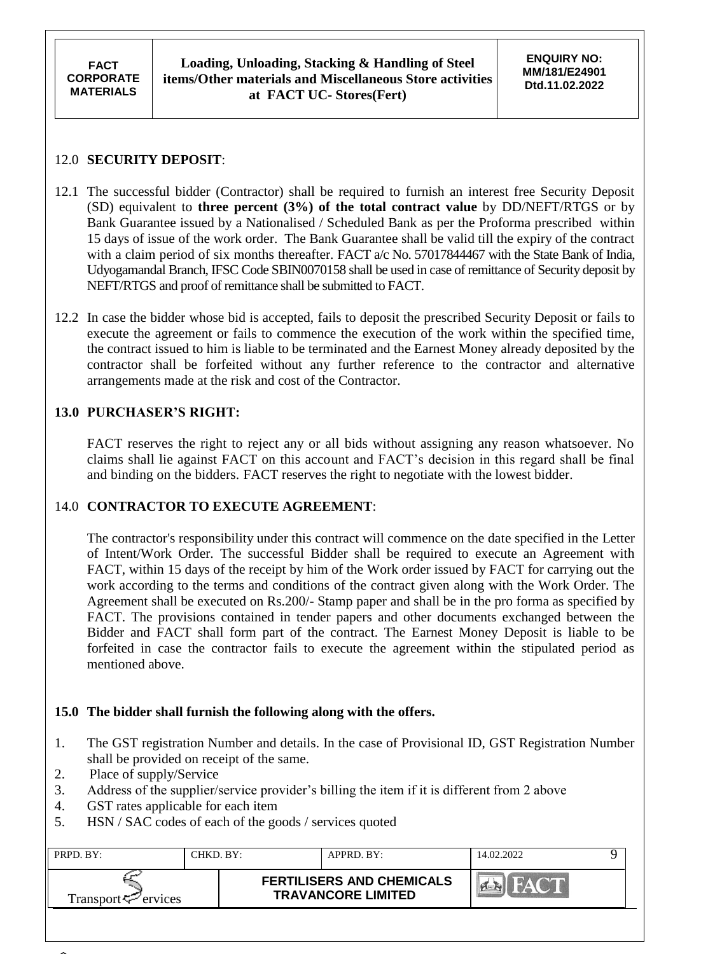## 12.0 **SECURITY DEPOSIT**:

- 12.1 The successful bidder (Contractor) shall be required to furnish an interest free Security Deposit (SD) equivalent to **three percent (3%) of the total contract value** by DD/NEFT/RTGS or by Bank Guarantee issued by a Nationalised / Scheduled Bank as per the Proforma prescribed within 15 days of issue of the work order. The Bank Guarantee shall be valid till the expiry of the contract with a claim period of six months thereafter. FACT a/c No. 57017844467 with the State Bank of India, Udyogamandal Branch, IFSC Code SBIN0070158 shall be used in case of remittance of Security deposit by NEFT/RTGS and proof of remittance shall be submitted to FACT.
- 12.2 In case the bidder whose bid is accepted, fails to deposit the prescribed Security Deposit or fails to execute the agreement or fails to commence the execution of the work within the specified time, the contract issued to him is liable to be terminated and the Earnest Money already deposited by the contractor shall be forfeited without any further reference to the contractor and alternative arrangements made at the risk and cost of the Contractor.

# **13.0 PURCHASER'S RIGHT:**

FACT reserves the right to reject any or all bids without assigning any reason whatsoever. No claims shall lie against FACT on this account and FACT"s decision in this regard shall be final and binding on the bidders. FACT reserves the right to negotiate with the lowest bidder.

### 14.0 **CONTRACTOR TO EXECUTE AGREEMENT**:

The contractor's responsibility under this contract will commence on the date specified in the Letter of Intent/Work Order. The successful Bidder shall be required to execute an Agreement with FACT, within 15 days of the receipt by him of the Work order issued by FACT for carrying out the work according to the terms and conditions of the contract given along with the Work Order. The Agreement shall be executed on Rs.200/- Stamp paper and shall be in the pro forma as specified by FACT. The provisions contained in tender papers and other documents exchanged between the Bidder and FACT shall form part of the contract. The Earnest Money Deposit is liable to be forfeited in case the contractor fails to execute the agreement within the stipulated period as mentioned above.

### **15.0 The bidder shall furnish the following along with the offers.**

- 1. The GST registration Number and details. In the case of Provisional ID, GST Registration Number shall be provided on receipt of the same.
- 2. Place of supply/Service
- 3. Address of the supplier/service provider"s billing the item if it is different from 2 above
- 4. GST rates applicable for each item
- 5. HSN / SAC codes of each of the goods / services quoted

| PRPD. BY:                       | CHKD. BY:- | APPRD. BY:                                                    | 14.02.2022 |  |
|---------------------------------|------------|---------------------------------------------------------------|------------|--|
| Transport <sup>ry</sup> ervices |            | <b>FERTILISERS AND CHEMICALS</b><br><b>TRAVANCORE LIMITED</b> |            |  |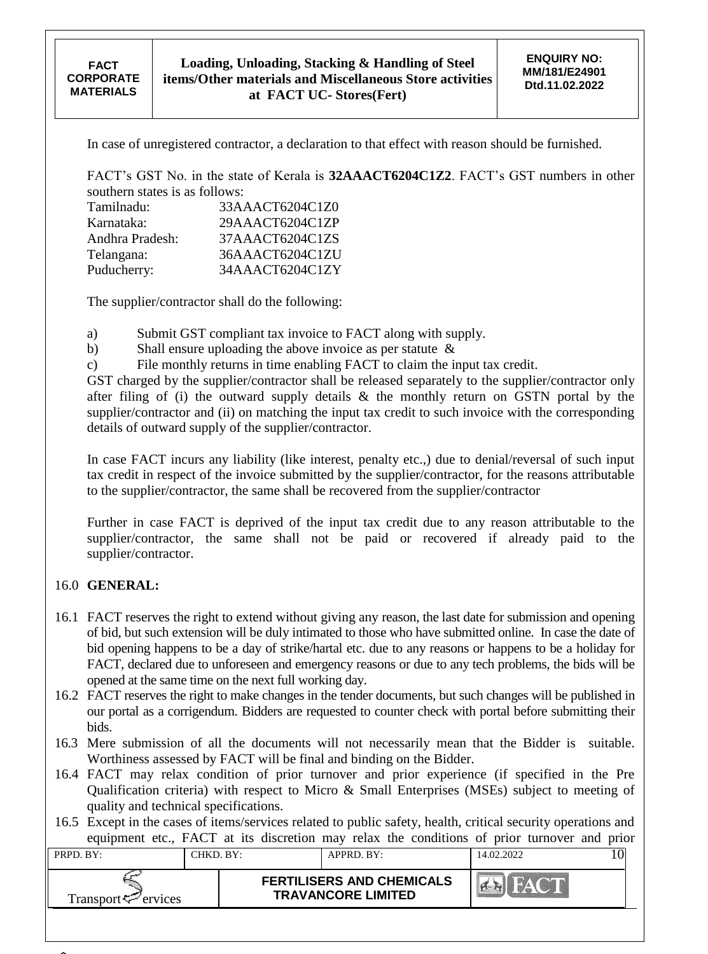In case of unregistered contractor, a declaration to that effect with reason should be furnished.

FACT"s GST No. in the state of Kerala is **32AAACT6204C1Z2**. FACT"s GST numbers in other southern states is as follows:

| Tamilnadu:      | 33AAACT6204C1Z0 |
|-----------------|-----------------|
| Karnataka:      | 29AAACT6204C1ZP |
| Andhra Pradesh: | 37AAACT6204C1ZS |
| Telangana:      | 36AAACT6204C1ZU |
| Puducherry:     | 34AAACT6204C1ZY |

The supplier/contractor shall do the following:

a) Submit GST compliant tax invoice to FACT along with supply.

b) Shall ensure uploading the above invoice as per statute &

c) File monthly returns in time enabling FACT to claim the input tax credit.

GST charged by the supplier/contractor shall be released separately to the supplier/contractor only after filing of (i) the outward supply details & the monthly return on GSTN portal by the supplier/contractor and (ii) on matching the input tax credit to such invoice with the corresponding details of outward supply of the supplier/contractor.

In case FACT incurs any liability (like interest, penalty etc.,) due to denial/reversal of such input tax credit in respect of the invoice submitted by the supplier/contractor, for the reasons attributable to the supplier/contractor, the same shall be recovered from the supplier/contractor

Further in case FACT is deprived of the input tax credit due to any reason attributable to the supplier/contractor, the same shall not be paid or recovered if already paid to the supplier/contractor.

### 16.0 **GENERAL:**

- 16.1 FACT reserves the right to extend without giving any reason, the last date for submission and opening of bid, but such extension will be duly intimated to those who have submitted online. In case the date of bid opening happens to be a day of strike/hartal etc. due to any reasons or happens to be a holiday for FACT, declared due to unforeseen and emergency reasons or due to any tech problems, the bids will be opened at the same time on the next full working day.
- 16.2 FACT reserves the right to make changes in the tender documents, but such changes will be published in our portal as a corrigendum. Bidders are requested to counter check with portal before submitting their bids.
- 16.3 Mere submission of all the documents will not necessarily mean that the Bidder is suitable. Worthiness assessed by FACT will be final and binding on the Bidder.
- 16.4 FACT may relax condition of prior turnover and prior experience (if specified in the Pre Qualification criteria) with respect to Micro & Small Enterprises (MSEs) subject to meeting of quality and technical specifications.
- 16.5 Except in the cases of items/services related to public safety, health, critical security operations and equipment etc., FACT at its discretion may relax the conditions of prior turnover and prior

| $PRPD$ . $BY:$              | CHKD. BY: | APPRD. BY:                                                    | 14.02.2022 |  |
|-----------------------------|-----------|---------------------------------------------------------------|------------|--|
| Transport $\approx$ ervices |           | <b>FERTILISERS AND CHEMICALS</b><br><b>TRAVANCORE LIMITED</b> |            |  |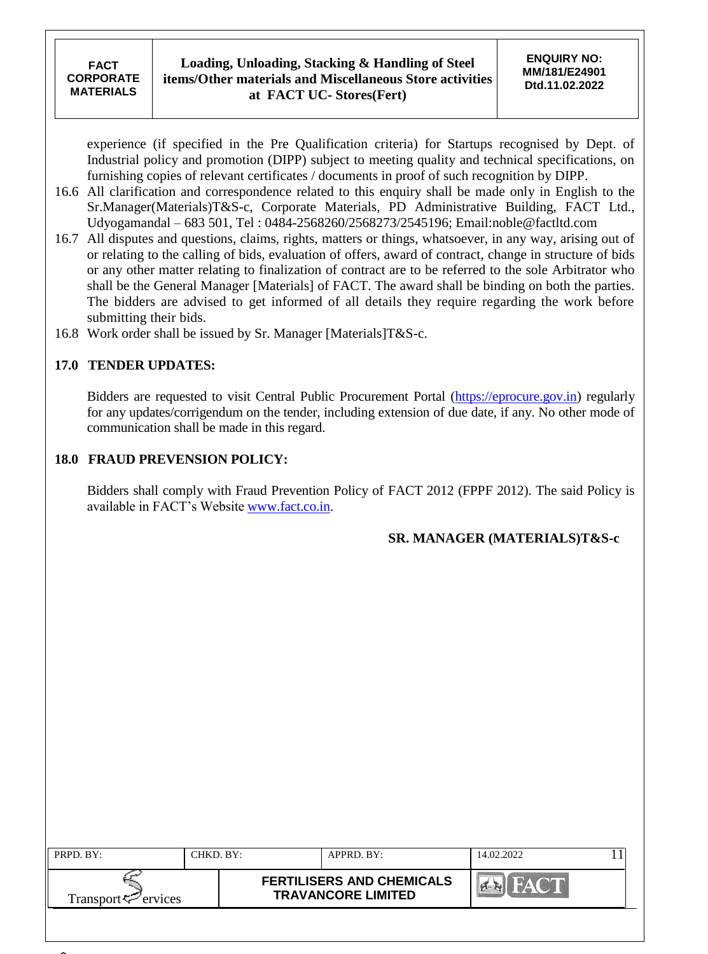experience (if specified in the Pre Qualification criteria) for Startups recognised by Dept. of Industrial policy and promotion (DIPP) subject to meeting quality and technical specifications, on furnishing copies of relevant certificates / documents in proof of such recognition by DIPP.

- 16.6 All clarification and correspondence related to this enquiry shall be made only in English to the Sr.Manager(Materials)T&S-c, Corporate Materials, PD Administrative Building, FACT Ltd., Udyogamandal – 683 501, Tel : 0484-2568260/2568273/2545196; Email:noble@factltd.com
- 16.7 All disputes and questions, claims, rights, matters or things, whatsoever, in any way, arising out of or relating to the calling of bids, evaluation of offers, award of contract, change in structure of bids or any other matter relating to finalization of contract are to be referred to the sole Arbitrator who shall be the General Manager [Materials] of FACT. The award shall be binding on both the parties. The bidders are advised to get informed of all details they require regarding the work before submitting their bids.
- 16.8 Work order shall be issued by Sr. Manager [Materials]T&S-c.

## **17.0 TENDER UPDATES:**

Bidders are requested to visit Central Public Procurement Portal [\(https://eprocure.gov.in\)](https://eprocure.gov.in/) regularly for any updates/corrigendum on the tender, including extension of due date, if any. No other mode of communication shall be made in this regard.

## **18.0 FRAUD PREVENSION POLICY:**

Bidders shall comply with Fraud Prevention Policy of FACT 2012 (FPPF 2012). The said Policy is available in FACT"s Website [www.fact.co.in.](http://www.fact.co.in/)

### **SR. MANAGER (MATERIALS)T&S-c**

| PRPD. BY:                       | CHKD. BY: | APPRD. BY:                                                    | 14.02.2022 |  |
|---------------------------------|-----------|---------------------------------------------------------------|------------|--|
| Transport <sup>ry</sup> ervices |           | <b>FERTILISERS AND CHEMICALS</b><br><b>TRAVANCORE LIMITED</b> |            |  |
|                                 |           |                                                               |            |  |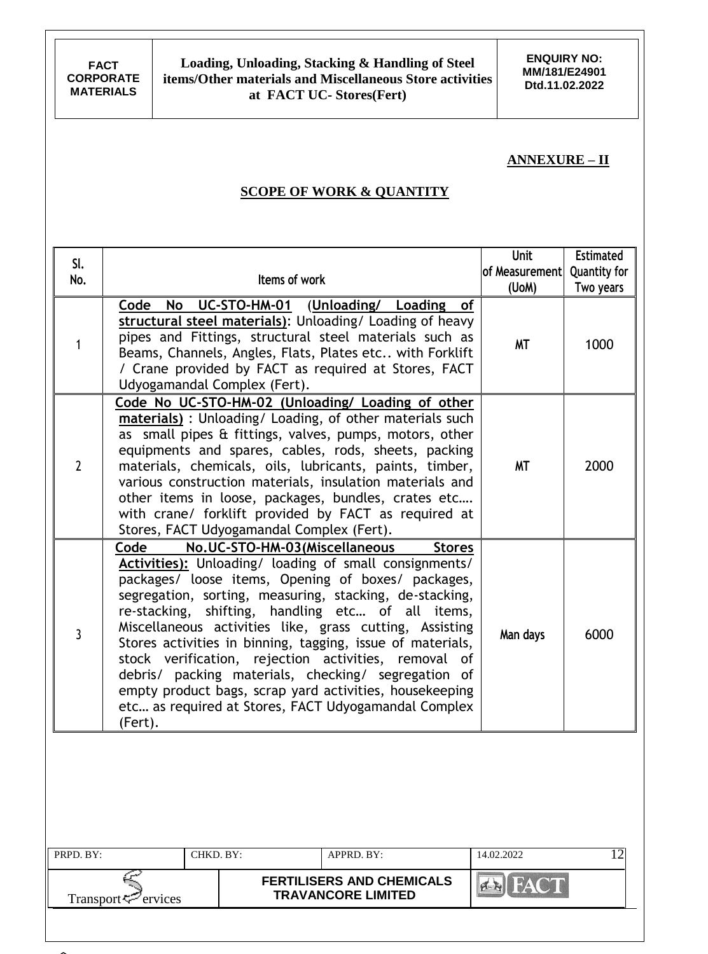**ENQUIRY NO: MM/181/E24901 Dtd.11.02.2022**

### **ANNEXURE – II**

## **SCOPE OF WORK & QUANTITY**

| SI.<br>No.     | Items of work                                                                                                                                                                                                                                                                                                                                                                                                                                                                                                                                                                                                                                                | <b>Unit</b><br>of Measurement<br>(UoM) | <b>Estimated</b><br><b>Quantity for</b><br>Two years |
|----------------|--------------------------------------------------------------------------------------------------------------------------------------------------------------------------------------------------------------------------------------------------------------------------------------------------------------------------------------------------------------------------------------------------------------------------------------------------------------------------------------------------------------------------------------------------------------------------------------------------------------------------------------------------------------|----------------------------------------|------------------------------------------------------|
| 1              | UC-STO-HM-01 (Unloading/ Loading<br>Code<br>No<br>of<br>structural steel materials): Unloading/ Loading of heavy<br>pipes and Fittings, structural steel materials such as<br>Beams, Channels, Angles, Flats, Plates etc with Forklift<br>/ Crane provided by FACT as required at Stores, FACT<br>Udyogamandal Complex (Fert).                                                                                                                                                                                                                                                                                                                               | <b>MT</b>                              | 1000                                                 |
| $\overline{2}$ | Code No UC-STO-HM-02 (Unloading/ Loading of other<br>materials) : Unloading/ Loading, of other materials such<br>as small pipes & fittings, valves, pumps, motors, other<br>equipments and spares, cables, rods, sheets, packing<br>materials, chemicals, oils, lubricants, paints, timber,<br>various construction materials, insulation materials and<br>other items in loose, packages, bundles, crates etc<br>with crane/ forklift provided by FACT as required at<br>Stores, FACT Udyogamandal Complex (Fert).                                                                                                                                          | <b>MT</b>                              | 2000                                                 |
| 3              | No.UC-STO-HM-03(Miscellaneous<br>Code<br><b>Stores</b><br>Activities): Unloading/ loading of small consignments/<br>packages/ loose items, Opening of boxes/ packages,<br>segregation, sorting, measuring, stacking, de-stacking,<br>re-stacking, shifting, handling etc of all items,<br>Miscellaneous activities like, grass cutting, Assisting<br>Stores activities in binning, tagging, issue of materials,<br>stock verification, rejection activities, removal of<br>debris/ packing materials, checking/ segregation of<br>empty product bags, scrap yard activities, housekeeping<br>etc as required at Stores, FACT Udyogamandal Complex<br>(Fert). | Man days                               | 6000                                                 |
| PRPD. BY:      | CHKD. BY:<br>APPRD. BY:                                                                                                                                                                                                                                                                                                                                                                                                                                                                                                                                                                                                                                      | 14.02.2022                             | 12                                                   |
|                | <b>FERTILISERS AND CHEMICALS</b><br><b>TRAVANCORE LIMITED</b><br>Transport <sup>5</sup> ervices                                                                                                                                                                                                                                                                                                                                                                                                                                                                                                                                                              | FAC <sup>-</sup>                       |                                                      |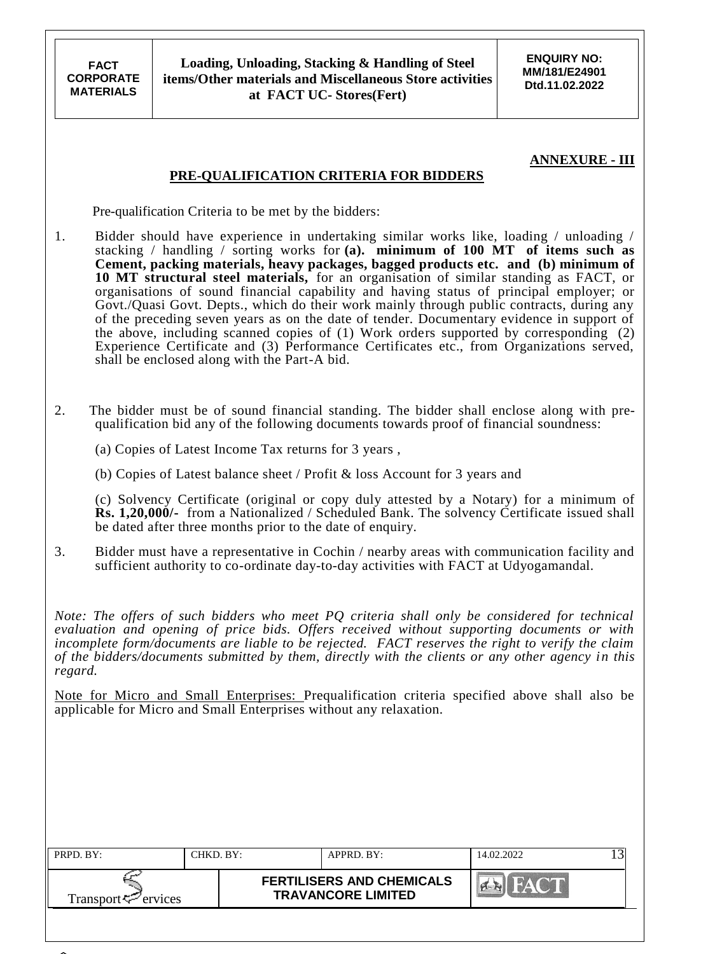**FACT CORPORATE MATERIALS**

**ENQUIRY NO: MM/181/E24901 Dtd.11.02.2022**

### **ANNEXURE - III**

#### **PRE-QUALIFICATION CRITERIA FOR BIDDERS**

Pre-qualification Criteria to be met by the bidders:

- 1. Bidder should have experience in undertaking similar works like, loading / unloading / stacking / handling / sorting works for **(a). minimum of 100 MT of items such as Cement, packing materials, heavy packages, bagged products etc. and (b) minimum of 10 MT structural steel materials,** for an organisation of similar standing as FACT, or organisations of sound financial capability and having status of principal employer; or Govt./Quasi Govt. Depts., which do their work mainly through public contracts, during any of the preceding seven years as on the date of tender. Documentary evidence in support of the above, including scanned copies of (1) Work orders supported by corresponding (2) Experience Certificate and (3) Performance Certificates etc., from Organizations served, shall be enclosed along with the Part-A bid.
- 2. The bidder must be of sound financial standing. The bidder shall enclose along with prequalification bid any of the following documents towards proof of financial soundness:

(a) Copies of Latest Income Tax returns for 3 years ,

(b) Copies of Latest balance sheet / Profit & loss Account for 3 years and

(c) Solvency Certificate (original or copy duly attested by a Notary) for a minimum of **Rs. 1,20,000/-** from a Nationalized / Scheduled Bank. The solvency Certificate issued shall be dated after three months prior to the date of enquiry.

3. Bidder must have a representative in Cochin / nearby areas with communication facility and sufficient authority to co-ordinate day-to-day activities with FACT at Udyogamandal.

*Note: The offers of such bidders who meet PQ criteria shall only be considered for technical evaluation and opening of price bids. Offers received without supporting documents or with incomplete form/documents are liable to be rejected. FACT reserves the right to verify the claim of the bidders/documents submitted by them, directly with the clients or any other agency in this regard.*

Note for Micro and Small Enterprises: Prequalification criteria specified above shall also be applicable for Micro and Small Enterprises without any relaxation.

| PRPD. BY:                      | CHKD. BY: | APPRD. BY:                                                    | 14.02.2022 |  |
|--------------------------------|-----------|---------------------------------------------------------------|------------|--|
| Transport <sup>7</sup> ervices |           | <b>FERTILISERS AND CHEMICALS</b><br><b>TRAVANCORE LIMITED</b> |            |  |
|                                |           |                                                               |            |  |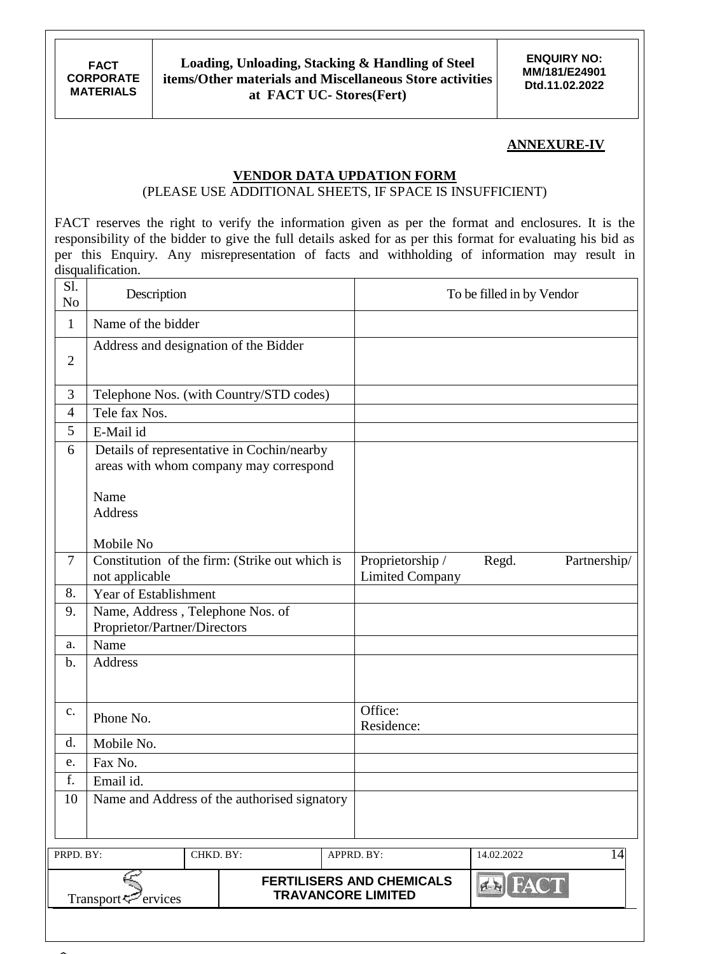## **ANNEXURE-IV**

### **VENDOR DATA UPDATION FORM**

### (PLEASE USE ADDITIONAL SHEETS, IF SPACE IS INSUFFICIENT)

FACT reserves the right to verify the information given as per the format and enclosures. It is the responsibility of the bidder to give the full details asked for as per this format for evaluating his bid as per this Enquiry. Any misrepresentation of facts and withholding of information may result in disqualification.

| S1.<br>N <sub>o</sub> | Description                                                      |                                        |                                                               | To be filled in by Vendor |              |
|-----------------------|------------------------------------------------------------------|----------------------------------------|---------------------------------------------------------------|---------------------------|--------------|
| $\mathbf{1}$          | Name of the bidder                                               |                                        |                                                               |                           |              |
| $\overline{2}$        | Address and designation of the Bidder                            |                                        |                                                               |                           |              |
| 3                     | Telephone Nos. (with Country/STD codes)                          |                                        |                                                               |                           |              |
| 4                     | Tele fax Nos.                                                    |                                        |                                                               |                           |              |
| 5                     | E-Mail id                                                        |                                        |                                                               |                           |              |
| 6                     | Details of representative in Cochin/nearby                       | areas with whom company may correspond |                                                               |                           |              |
|                       | Name<br>Address                                                  |                                        |                                                               |                           |              |
|                       | Mobile No                                                        |                                        |                                                               |                           |              |
| $\overline{7}$        | Constitution of the firm: (Strike out which is<br>not applicable |                                        | Proprietorship /<br><b>Limited Company</b>                    | Regd.                     | Partnership/ |
| 8.                    | Year of Establishment                                            |                                        |                                                               |                           |              |
| 9.                    | Name, Address, Telephone Nos. of<br>Proprietor/Partner/Directors |                                        |                                                               |                           |              |
| a.                    | Name                                                             |                                        |                                                               |                           |              |
| $\mathbf b$ .         | Address                                                          |                                        |                                                               |                           |              |
| $\mathbf{C}$ .        | Phone No.                                                        |                                        | Office:<br>Residence:                                         |                           |              |
| d.                    | Mobile No.                                                       |                                        |                                                               |                           |              |
| e.                    | Fax No.                                                          |                                        |                                                               |                           |              |
| f.                    | Email id.                                                        |                                        |                                                               |                           |              |
| 10                    | Name and Address of the authorised signatory                     |                                        |                                                               |                           |              |
|                       |                                                                  |                                        |                                                               |                           |              |
| PRPD. BY:             |                                                                  | CHKD. BY:                              | APPRD. BY:                                                    | 14.02.2022                | 14           |
|                       | Transport<br>ervices                                             |                                        | <b>FERTILISERS AND CHEMICALS</b><br><b>TRAVANCORE LIMITED</b> | <b>EN FACT</b>            |              |
|                       |                                                                  |                                        |                                                               |                           |              |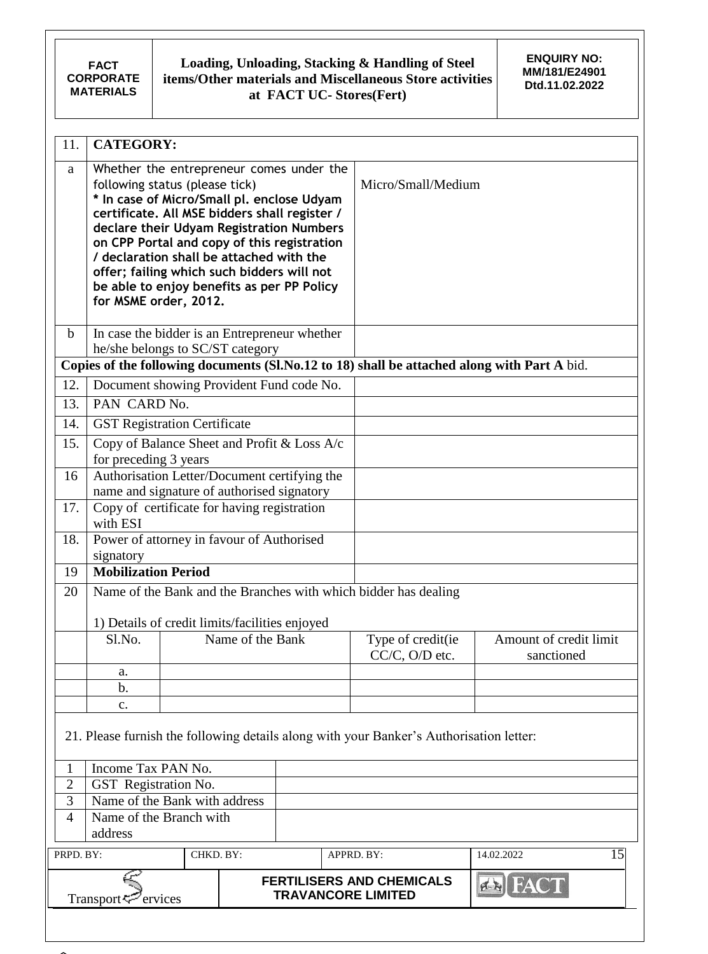**FACT CORPORATE MATERIALS**

### **Loading, Unloading, Stacking & Handling of Steel items/Other materials and Miscellaneous Store activities at FACT UC- Stores(Fert)**

**ENQUIRY NO: MM/181/E24901 Dtd.11.02.2022**

| 11.            | <b>CATEGORY:</b>                                                                                                                                                                                                                                                                                                                              |           |                  |                                                                                      |                                                                                         |                                                                                             |
|----------------|-----------------------------------------------------------------------------------------------------------------------------------------------------------------------------------------------------------------------------------------------------------------------------------------------------------------------------------------------|-----------|------------------|--------------------------------------------------------------------------------------|-----------------------------------------------------------------------------------------|---------------------------------------------------------------------------------------------|
| a              | following status (please tick)<br>* In case of Micro/Small pl. enclose Udyam<br>certificate. All MSE bidders shall register /<br>on CPP Portal and copy of this registration<br>/ declaration shall be attached with the<br>offer; failing which such bidders will not<br>be able to enjoy benefits as per PP Policy<br>for MSME order, 2012. |           |                  | Whether the entrepreneur comes under the<br>declare their Udyam Registration Numbers | Micro/Small/Medium                                                                      |                                                                                             |
| $\mathbf b$    | In case the bidder is an Entrepreneur whether<br>he/she belongs to SC/ST category                                                                                                                                                                                                                                                             |           |                  |                                                                                      |                                                                                         |                                                                                             |
|                |                                                                                                                                                                                                                                                                                                                                               |           |                  |                                                                                      |                                                                                         | Copies of the following documents (Sl.No.12 to 18) shall be attached along with Part A bid. |
| 12.            | Document showing Provident Fund code No.                                                                                                                                                                                                                                                                                                      |           |                  |                                                                                      |                                                                                         |                                                                                             |
| 13.            | PAN CARD No.                                                                                                                                                                                                                                                                                                                                  |           |                  |                                                                                      |                                                                                         |                                                                                             |
| 14.            | <b>GST Registration Certificate</b>                                                                                                                                                                                                                                                                                                           |           |                  |                                                                                      |                                                                                         |                                                                                             |
| 15.            |                                                                                                                                                                                                                                                                                                                                               |           |                  | Copy of Balance Sheet and Profit & Loss A/c                                          |                                                                                         |                                                                                             |
|                | for preceding 3 years                                                                                                                                                                                                                                                                                                                         |           |                  |                                                                                      |                                                                                         |                                                                                             |
| 16             | Authorisation Letter/Document certifying the                                                                                                                                                                                                                                                                                                  |           |                  |                                                                                      |                                                                                         |                                                                                             |
|                | name and signature of authorised signatory                                                                                                                                                                                                                                                                                                    |           |                  |                                                                                      |                                                                                         |                                                                                             |
| 17.            | Copy of certificate for having registration<br>with ESI                                                                                                                                                                                                                                                                                       |           |                  |                                                                                      |                                                                                         |                                                                                             |
| 18.            | Power of attorney in favour of Authorised                                                                                                                                                                                                                                                                                                     |           |                  |                                                                                      |                                                                                         |                                                                                             |
|                | signatory                                                                                                                                                                                                                                                                                                                                     |           |                  |                                                                                      |                                                                                         |                                                                                             |
| 19             | <b>Mobilization Period</b>                                                                                                                                                                                                                                                                                                                    |           |                  |                                                                                      |                                                                                         |                                                                                             |
| 20             |                                                                                                                                                                                                                                                                                                                                               |           |                  |                                                                                      | Name of the Bank and the Branches with which bidder has dealing                         |                                                                                             |
|                | 1) Details of credit limits/facilities enjoyed                                                                                                                                                                                                                                                                                                |           |                  |                                                                                      |                                                                                         |                                                                                             |
|                | Sl.No.                                                                                                                                                                                                                                                                                                                                        |           | Name of the Bank |                                                                                      | Type of credit(ie<br>$CC/C$ , $O/D$ etc.                                                | Amount of credit limit<br>sanctioned                                                        |
|                | a.                                                                                                                                                                                                                                                                                                                                            |           |                  |                                                                                      |                                                                                         |                                                                                             |
|                | $b$ .                                                                                                                                                                                                                                                                                                                                         |           |                  |                                                                                      |                                                                                         |                                                                                             |
|                | $\mathbf{c}$ .                                                                                                                                                                                                                                                                                                                                |           |                  |                                                                                      |                                                                                         |                                                                                             |
|                |                                                                                                                                                                                                                                                                                                                                               |           |                  |                                                                                      | 21. Please furnish the following details along with your Banker's Authorisation letter: |                                                                                             |
| $\mathbf{1}$   | Income Tax PAN No.                                                                                                                                                                                                                                                                                                                            |           |                  |                                                                                      |                                                                                         |                                                                                             |
| $\overline{2}$ | GST Registration No.                                                                                                                                                                                                                                                                                                                          |           |                  |                                                                                      |                                                                                         |                                                                                             |
| 3              | Name of the Bank with address                                                                                                                                                                                                                                                                                                                 |           |                  |                                                                                      |                                                                                         |                                                                                             |
| $\overline{4}$ | Name of the Branch with<br>address                                                                                                                                                                                                                                                                                                            |           |                  |                                                                                      |                                                                                         |                                                                                             |
| PRPD. BY:      |                                                                                                                                                                                                                                                                                                                                               | CHKD. BY: |                  |                                                                                      | APPRD. BY:                                                                              | 15<br>14.02.2022                                                                            |
|                | Transport $\leq$ ervices                                                                                                                                                                                                                                                                                                                      |           |                  | <b>TRAVANCORE LIMITED</b>                                                            | <b>FERTILISERS AND CHEMICALS</b>                                                        | <b>IFAC</b><br>4N                                                                           |
|                |                                                                                                                                                                                                                                                                                                                                               |           |                  |                                                                                      |                                                                                         |                                                                                             |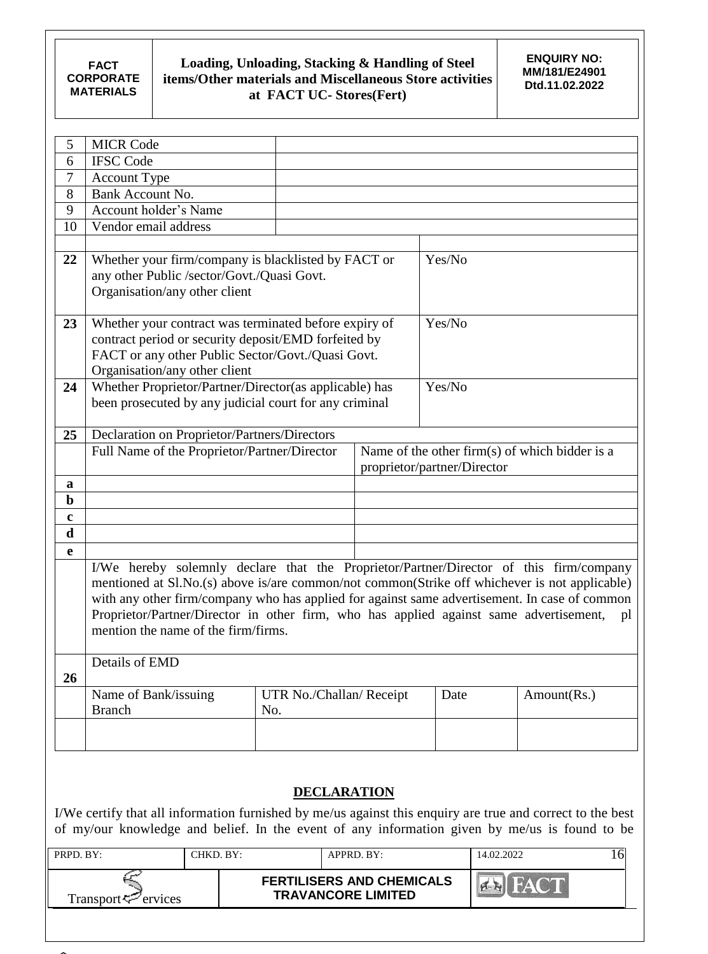| 5           | <b>MICR Code</b>                                                                              |                          |                             |                                                |
|-------------|-----------------------------------------------------------------------------------------------|--------------------------|-----------------------------|------------------------------------------------|
| 6           | <b>IFSC Code</b>                                                                              |                          |                             |                                                |
| 7           | <b>Account Type</b>                                                                           |                          |                             |                                                |
| 8           | Bank Account No.                                                                              |                          |                             |                                                |
| 9           | Account holder's Name                                                                         |                          |                             |                                                |
| 10          | Vendor email address                                                                          |                          |                             |                                                |
|             |                                                                                               |                          |                             |                                                |
| 22          | Whether your firm/company is blacklisted by FACT or                                           |                          | Yes/No                      |                                                |
|             | any other Public /sector/Govt./Quasi Govt.                                                    |                          |                             |                                                |
|             | Organisation/any other client                                                                 |                          |                             |                                                |
|             |                                                                                               |                          |                             |                                                |
| 23          | Whether your contract was terminated before expiry of                                         |                          | Yes/No                      |                                                |
|             | contract period or security deposit/EMD forfeited by                                          |                          |                             |                                                |
|             | FACT or any other Public Sector/Govt./Quasi Govt.                                             |                          |                             |                                                |
|             | Organisation/any other client                                                                 |                          |                             |                                                |
| 24          | Whether Proprietor/Partner/Director(as applicable) has                                        |                          | Yes/No                      |                                                |
|             | been prosecuted by any judicial court for any criminal                                        |                          |                             |                                                |
|             |                                                                                               |                          |                             |                                                |
| 25          | Declaration on Proprietor/Partners/Directors                                                  |                          |                             |                                                |
|             | Full Name of the Proprietor/Partner/Director                                                  |                          |                             | Name of the other firm(s) of which bidder is a |
|             |                                                                                               |                          | proprietor/partner/Director |                                                |
| a           |                                                                                               |                          |                             |                                                |
| $\mathbf b$ |                                                                                               |                          |                             |                                                |
| $\bf c$     |                                                                                               |                          |                             |                                                |
| $\mathbf d$ |                                                                                               |                          |                             |                                                |
| e           |                                                                                               |                          |                             |                                                |
|             | I/We hereby solemnly declare that the Proprietor/Partner/Director of this firm/company        |                          |                             |                                                |
|             | mentioned at Sl.No.(s) above is/are common/not common(Strike off whichever is not applicable) |                          |                             |                                                |
|             | with any other firm/company who has applied for against same advertisement. In case of common |                          |                             |                                                |
|             | Proprietor/Partner/Director in other firm, who has applied against same advertisement,        |                          |                             | pl                                             |
|             | mention the name of the firm/firms.                                                           |                          |                             |                                                |
|             |                                                                                               |                          |                             |                                                |
|             | Details of EMD                                                                                |                          |                             |                                                |
| 26          |                                                                                               |                          |                             |                                                |
|             | Name of Bank/issuing                                                                          | UTR No./Challan/ Receipt | Date                        | Amount(Rs.)                                    |
|             | <b>Branch</b>                                                                                 | No.                      |                             |                                                |
|             |                                                                                               |                          |                             |                                                |
|             |                                                                                               |                          |                             |                                                |
|             |                                                                                               |                          |                             |                                                |
|             |                                                                                               |                          |                             |                                                |

# **DECLARATION**

I/We certify that all information furnished by me/us against this enquiry are true and correct to the best of my/our knowledge and belief. In the event of any information given by me/us is found to be

| PRPD, BY:                   | CHKD. BY: | $APPRD$ $BY:$                                                 | 14.02.2022   |  |
|-----------------------------|-----------|---------------------------------------------------------------|--------------|--|
| Transport $\approx$ ervices |           | <b>FERTILISERS AND CHEMICALS</b><br><b>TRAVANCORE LIMITED</b> | <b>AVENU</b> |  |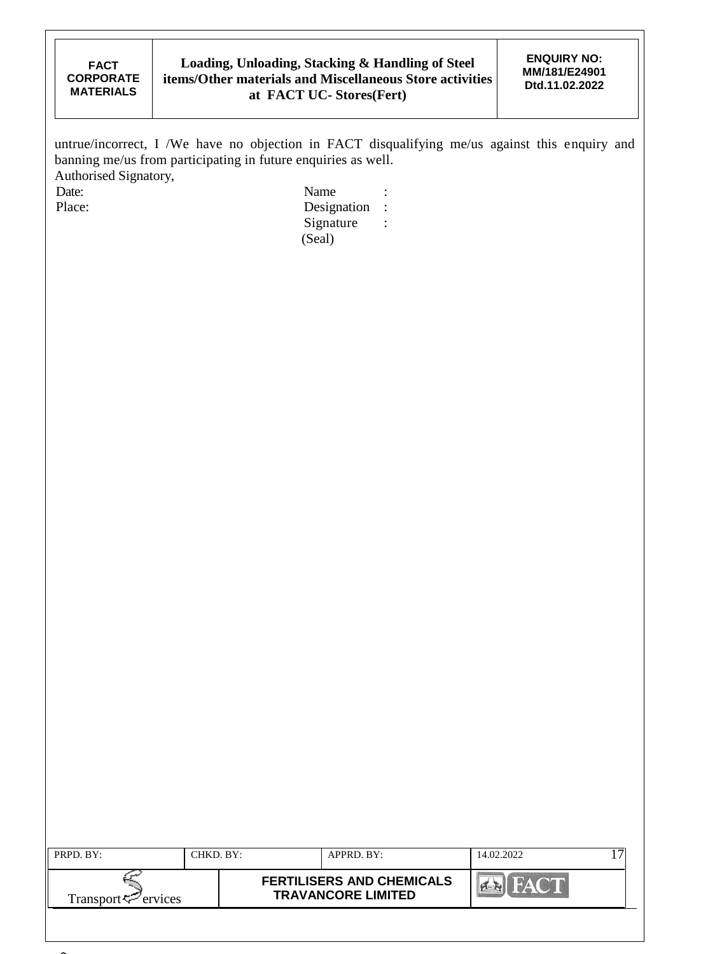untrue/incorrect, I /We have no objection in FACT disqualifying me/us against this enquiry and banning me/us from participating in future enquiries as well. Authorised Signatory,<br>Date: Date: Name : Name : Name : Name : Name : Name : Name : Name : Name : Name : Name : Name : Name : Name : Name :  $\mathbb{R}$ 

Place: Designation : Signature : (Seal)

| PRPD. BY:                      | CHKD. BY: | APPRD. BY:                                                    | 14.02.2022 |  |
|--------------------------------|-----------|---------------------------------------------------------------|------------|--|
| Transport <sup>7</sup> ervices |           | <b>FERTILISERS AND CHEMICALS</b><br><b>TRAVANCORE LIMITED</b> |            |  |
|                                |           |                                                               |            |  |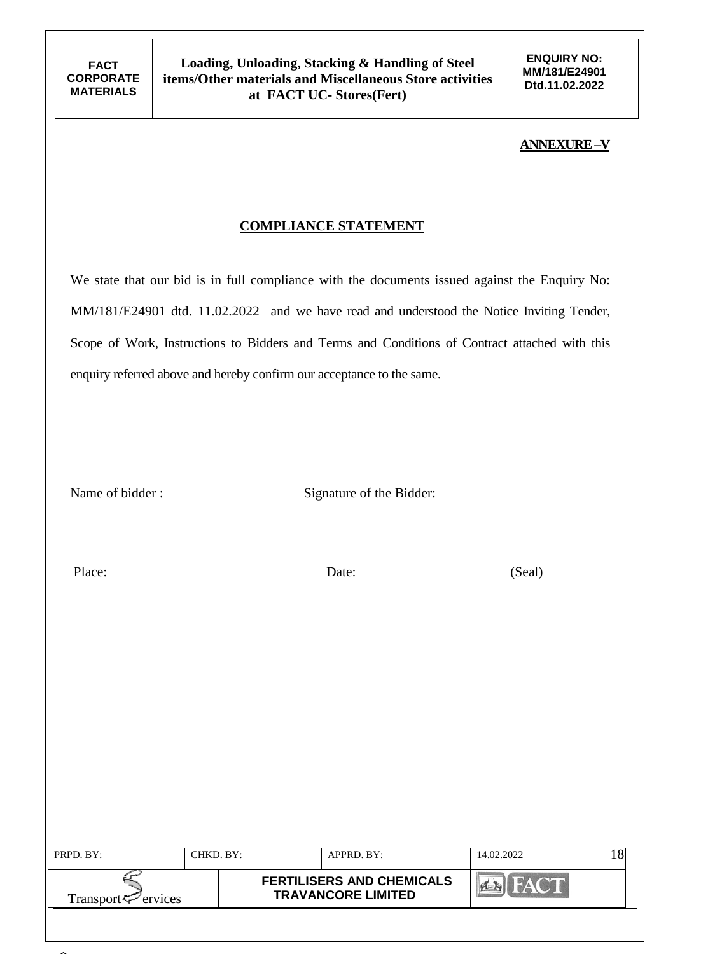### **ANNEXURE –V**

## **COMPLIANCE STATEMENT**

We state that our bid is in full compliance with the documents issued against the Enquiry No: MM/181/E24901 dtd. 11.02.2022 and we have read and understood the Notice Inviting Tender, Scope of Work, Instructions to Bidders and Terms and Conditions of Contract attached with this enquiry referred above and hereby confirm our acceptance to the same.

Name of bidder : Signature of the Bidder:

Place: Date: Date: (Seal)

| PRPD. BY:                                      | CHKD. BY:- | APPRD. BY:                                                    | 14.02.2022 |  |
|------------------------------------------------|------------|---------------------------------------------------------------|------------|--|
| Transport <sup><math>\leq</math></sup> ervices |            | <b>FERTILISERS AND CHEMICALS</b><br><b>TRAVANCORE LIMITED</b> |            |  |
|                                                |            |                                                               |            |  |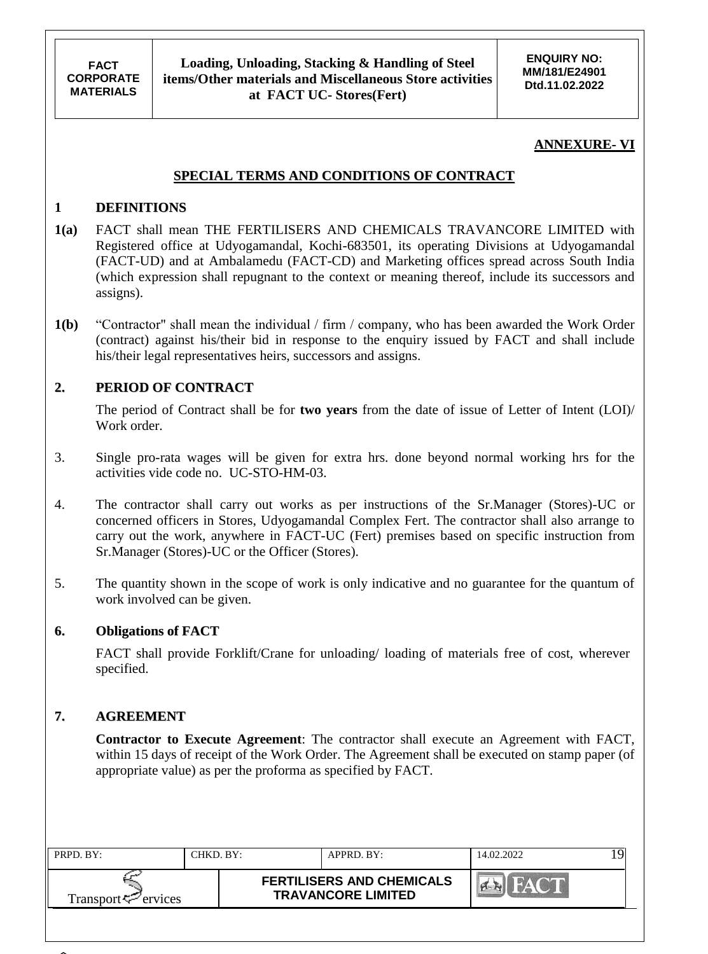## **ANNEXURE- VI**

### **SPECIAL TERMS AND CONDITIONS OF CONTRACT**

### **1 DEFINITIONS**

- **1(a)** FACT shall mean THE FERTILISERS AND CHEMICALS TRAVANCORE LIMITED with Registered office at Udyogamandal, Kochi-683501, its operating Divisions at Udyogamandal (FACT-UD) and at Ambalamedu (FACT-CD) and Marketing offices spread across South India (which expression shall repugnant to the context or meaning thereof, include its successors and assigns).
- **1(b)** "Contractor" shall mean the individual / firm / company, who has been awarded the Work Order (contract) against his/their bid in response to the enquiry issued by FACT and shall include his/their legal representatives heirs, successors and assigns.

## **2. PERIOD OF CONTRACT**

The period of Contract shall be for **two years** from the date of issue of Letter of Intent (LOI)/ Work order.

- 3. Single pro-rata wages will be given for extra hrs. done beyond normal working hrs for the activities vide code no. UC-STO-HM-03.
- 4. The contractor shall carry out works as per instructions of the Sr.Manager (Stores)-UC or concerned officers in Stores, Udyogamandal Complex Fert. The contractor shall also arrange to carry out the work, anywhere in FACT-UC (Fert) premises based on specific instruction from Sr.Manager (Stores)-UC or the Officer (Stores).
- 5. The quantity shown in the scope of work is only indicative and no guarantee for the quantum of work involved can be given.

#### **6. Obligations of FACT**

FACT shall provide Forklift/Crane for unloading/ loading of materials free of cost, wherever specified.

### **7. AGREEMENT**

**Contractor to Execute Agreement**: The contractor shall execute an Agreement with FACT, within 15 days of receipt of the Work Order. The Agreement shall be executed on stamp paper (of appropriate value) as per the proforma as specified by FACT.

| PRPD. BY:                   | CHKD. BY: | $APPRD$ . BY:                                                 | 14.02.2022 |  |
|-----------------------------|-----------|---------------------------------------------------------------|------------|--|
| Transport $\approx$ ervices |           | <b>FERTILISERS AND CHEMICALS</b><br><b>TRAVANCORE LIMITED</b> |            |  |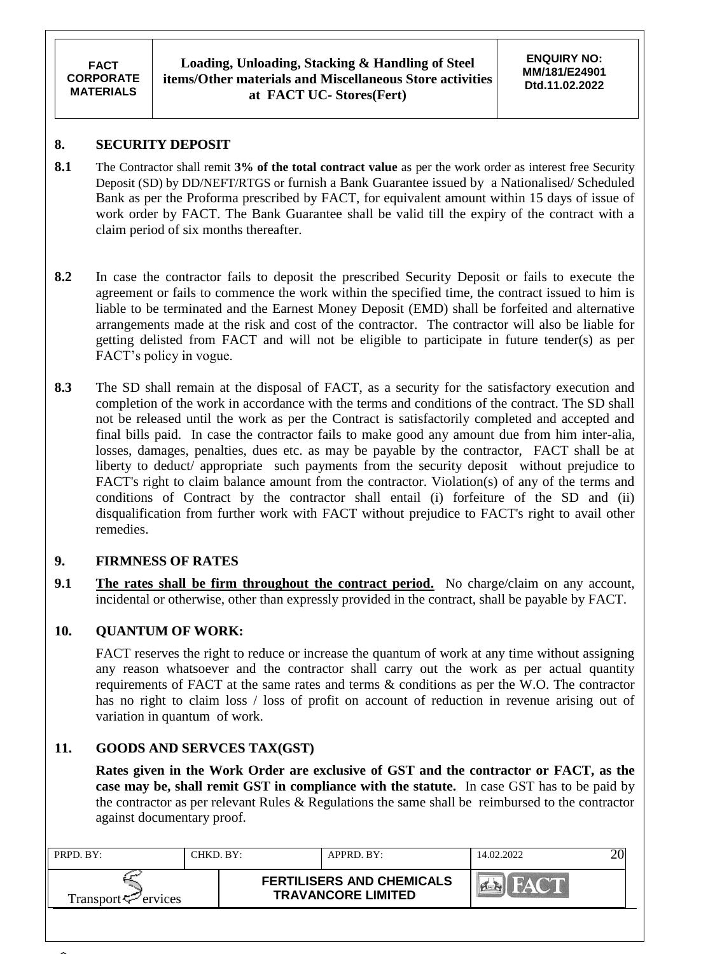## **8. SECURITY DEPOSIT**

- **8.1** The Contractor shall remit **3% of the total contract value** as per the work order as interest free Security Deposit (SD) by DD/NEFT/RTGS or furnish a Bank Guarantee issued by a Nationalised/ Scheduled Bank as per the Proforma prescribed by FACT, for equivalent amount within 15 days of issue of work order by FACT. The Bank Guarantee shall be valid till the expiry of the contract with a claim period of six months thereafter.
- **8.2** In case the contractor fails to deposit the prescribed Security Deposit or fails to execute the agreement or fails to commence the work within the specified time, the contract issued to him is liable to be terminated and the Earnest Money Deposit (EMD) shall be forfeited and alternative arrangements made at the risk and cost of the contractor. The contractor will also be liable for getting delisted from FACT and will not be eligible to participate in future tender(s) as per FACT"s policy in vogue.
- **8.3** The SD shall remain at the disposal of FACT, as a security for the satisfactory execution and completion of the work in accordance with the terms and conditions of the contract. The SD shall not be released until the work as per the Contract is satisfactorily completed and accepted and final bills paid. In case the contractor fails to make good any amount due from him inter-alia, losses, damages, penalties, dues etc. as may be payable by the contractor, FACT shall be at liberty to deduct/ appropriate such payments from the security deposit without prejudice to FACT's right to claim balance amount from the contractor. Violation(s) of any of the terms and conditions of Contract by the contractor shall entail (i) forfeiture of the SD and (ii) disqualification from further work with FACT without prejudice to FACT's right to avail other remedies.

# **9. FIRMNESS OF RATES**

**9.1 The rates shall be firm throughout the contract period.** No charge/claim on any account, incidental or otherwise, other than expressly provided in the contract, shall be payable by FACT.

# **10. QUANTUM OF WORK:**

FACT reserves the right to reduce or increase the quantum of work at any time without assigning any reason whatsoever and the contractor shall carry out the work as per actual quantity requirements of FACT at the same rates and terms & conditions as per the W.O. The contractor has no right to claim loss / loss of profit on account of reduction in revenue arising out of variation in quantum of work.

# **11. GOODS AND SERVCES TAX(GST)**

**Rates given in the Work Order are exclusive of GST and the contractor or FACT, as the case may be, shall remit GST in compliance with the statute.** In case GST has to be paid by the contractor as per relevant Rules & Regulations the same shall be reimbursed to the contractor against documentary proof.

| PRPD. BY:                   | CHKD BY: | $APPRD$ . BY:                                                 | 14.02.2022 |  |
|-----------------------------|----------|---------------------------------------------------------------|------------|--|
| Transport $\approx$ ervices |          | <b>FERTILISERS AND CHEMICALS</b><br><b>TRAVANCORE LIMITED</b> |            |  |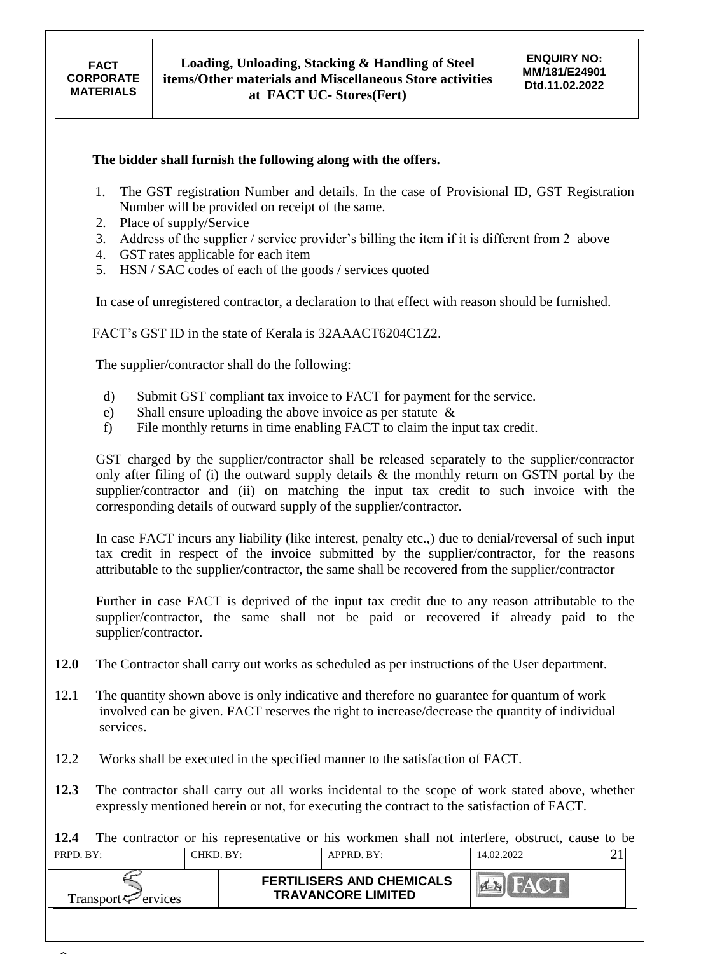#### **The bidder shall furnish the following along with the offers.**

- 1. The GST registration Number and details. In the case of Provisional ID, GST Registration Number will be provided on receipt of the same.
- 2. Place of supply/Service
- 3. Address of the supplier / service provider"s billing the item if it is different from 2 above
- 4. GST rates applicable for each item
- 5. HSN / SAC codes of each of the goods / services quoted

In case of unregistered contractor, a declaration to that effect with reason should be furnished.

FACT"s GST ID in the state of Kerala is 32AAACT6204C1Z2.

The supplier/contractor shall do the following:

- d) Submit GST compliant tax invoice to FACT for payment for the service.
- e) Shall ensure uploading the above invoice as per statute &
- f) File monthly returns in time enabling FACT to claim the input tax credit.

GST charged by the supplier/contractor shall be released separately to the supplier/contractor only after filing of (i) the outward supply details & the monthly return on GSTN portal by the supplier/contractor and (ii) on matching the input tax credit to such invoice with the corresponding details of outward supply of the supplier/contractor.

In case FACT incurs any liability (like interest, penalty etc.,) due to denial/reversal of such input tax credit in respect of the invoice submitted by the supplier/contractor, for the reasons attributable to the supplier/contractor, the same shall be recovered from the supplier/contractor

Further in case FACT is deprived of the input tax credit due to any reason attributable to the supplier/contractor, the same shall not be paid or recovered if already paid to the supplier/contractor.

- **12.0** The Contractor shall carry out works as scheduled as per instructions of the User department.
- 12.1 The quantity shown above is only indicative and therefore no guarantee for quantum of work involved can be given. FACT reserves the right to increase/decrease the quantity of individual services.
- 12.2 Works shall be executed in the specified manner to the satisfaction of FACT.
- **12.3** The contractor shall carry out all works incidental to the scope of work stated above, whether expressly mentioned herein or not, for executing the contract to the satisfaction of FACT.

**12.4** The contractor or his representative or his workmen shall not interfere, obstruct, cause to be

| PRPD. BY:           | `HKD. BY:- | APPRD. BY:                                                    | 14.02.2022 |  |
|---------------------|------------|---------------------------------------------------------------|------------|--|
| Transport <∠ervices |            | <b>FERTILISERS AND CHEMICALS</b><br><b>TRAVANCORE LIMITED</b> |            |  |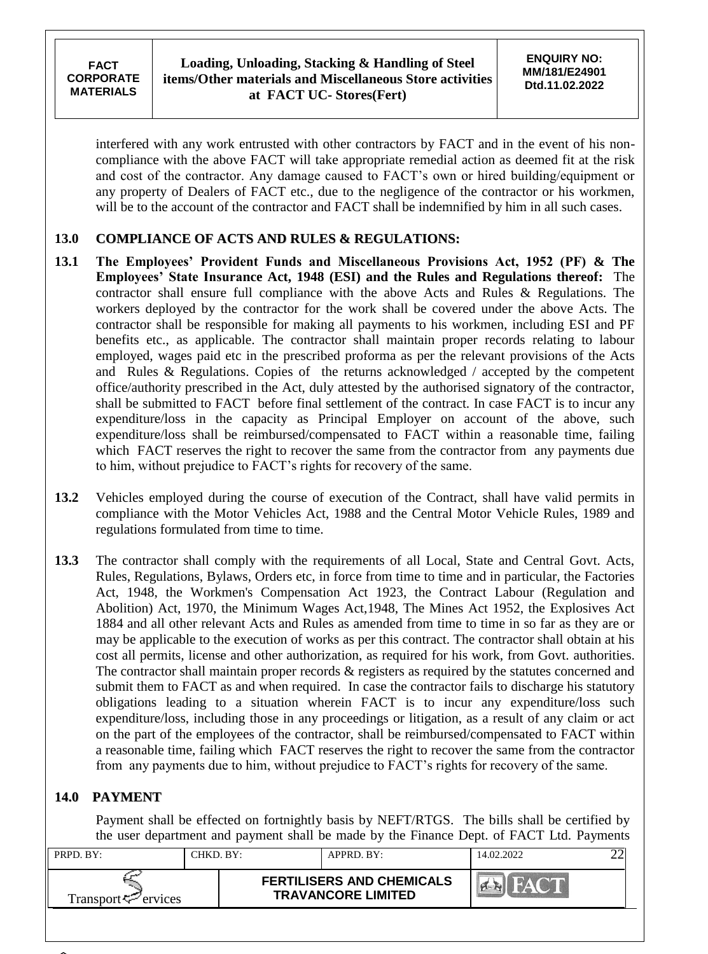interfered with any work entrusted with other contractors by FACT and in the event of his noncompliance with the above FACT will take appropriate remedial action as deemed fit at the risk and cost of the contractor. Any damage caused to FACT"s own or hired building/equipment or any property of Dealers of FACT etc., due to the negligence of the contractor or his workmen, will be to the account of the contractor and FACT shall be indemnified by him in all such cases.

# **13.0 COMPLIANCE OF ACTS AND RULES & REGULATIONS:**

- **13.1 The Employees' Provident Funds and Miscellaneous Provisions Act, 1952 (PF) & The Employees' State Insurance Act, 1948 (ESI) and the Rules and Regulations thereof:** The contractor shall ensure full compliance with the above Acts and Rules & Regulations. The workers deployed by the contractor for the work shall be covered under the above Acts. The contractor shall be responsible for making all payments to his workmen, including ESI and PF benefits etc., as applicable. The contractor shall maintain proper records relating to labour employed, wages paid etc in the prescribed proforma as per the relevant provisions of the Acts and Rules & Regulations. Copies of the returns acknowledged / accepted by the competent office/authority prescribed in the Act, duly attested by the authorised signatory of the contractor, shall be submitted to FACT before final settlement of the contract. In case FACT is to incur any expenditure/loss in the capacity as Principal Employer on account of the above, such expenditure/loss shall be reimbursed/compensated to FACT within a reasonable time, failing which FACT reserves the right to recover the same from the contractor from any payments due to him, without prejudice to FACT"s rights for recovery of the same.
- **13.2** Vehicles employed during the course of execution of the Contract, shall have valid permits in compliance with the Motor Vehicles Act, 1988 and the Central Motor Vehicle Rules, 1989 and regulations formulated from time to time.
- **13.3** The contractor shall comply with the requirements of all Local, State and Central Govt. Acts, Rules, Regulations, Bylaws, Orders etc, in force from time to time and in particular, the Factories Act, 1948, the Workmen's Compensation Act 1923, the Contract Labour (Regulation and Abolition) Act, 1970, the Minimum Wages Act,1948, The Mines Act 1952, the Explosives Act 1884 and all other relevant Acts and Rules as amended from time to time in so far as they are or may be applicable to the execution of works as per this contract. The contractor shall obtain at his cost all permits, license and other authorization, as required for his work, from Govt. authorities. The contractor shall maintain proper records & registers as required by the statutes concerned and submit them to FACT as and when required. In case the contractor fails to discharge his statutory obligations leading to a situation wherein FACT is to incur any expenditure/loss such expenditure/loss, including those in any proceedings or litigation, as a result of any claim or act on the part of the employees of the contractor, shall be reimbursed/compensated to FACT within a reasonable time, failing which FACT reserves the right to recover the same from the contractor from any payments due to him, without prejudice to FACT"s rights for recovery of the same.

# **14.0 PAYMENT**

Payment shall be effected on fortnightly basis by NEFT/RTGS. The bills shall be certified by the user department and payment shall be made by the Finance Dept. of FACT Ltd. Payments

| PRPD. BY:                   | CHKD. BY:- | APPRD. BY:                                                    | 14.02.2022 |  |
|-----------------------------|------------|---------------------------------------------------------------|------------|--|
| Transport $\approx$ ervices |            | <b>FERTILISERS AND CHEMICALS</b><br><b>TRAVANCORE LIMITED</b> | $m$ .      |  |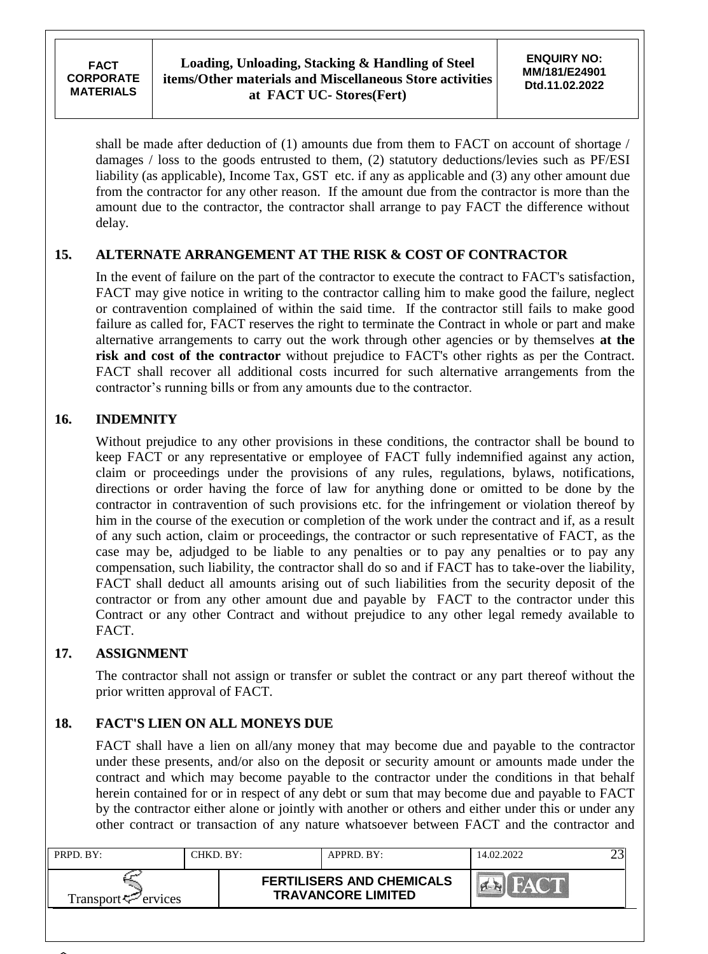shall be made after deduction of (1) amounts due from them to FACT on account of shortage / damages / loss to the goods entrusted to them, (2) statutory deductions/levies such as PF/ESI liability (as applicable), Income Tax, GST etc. if any as applicable and (3) any other amount due from the contractor for any other reason. If the amount due from the contractor is more than the amount due to the contractor, the contractor shall arrange to pay FACT the difference without delay.

# **15. ALTERNATE ARRANGEMENT AT THE RISK & COST OF CONTRACTOR**

In the event of failure on the part of the contractor to execute the contract to FACT's satisfaction, FACT may give notice in writing to the contractor calling him to make good the failure, neglect or contravention complained of within the said time. If the contractor still fails to make good failure as called for, FACT reserves the right to terminate the Contract in whole or part and make alternative arrangements to carry out the work through other agencies or by themselves **at the risk and cost of the contractor** without prejudice to FACT's other rights as per the Contract. FACT shall recover all additional costs incurred for such alternative arrangements from the contractor"s running bills or from any amounts due to the contractor.

# **16. INDEMNITY**

Without prejudice to any other provisions in these conditions, the contractor shall be bound to keep FACT or any representative or employee of FACT fully indemnified against any action, claim or proceedings under the provisions of any rules, regulations, bylaws, notifications, directions or order having the force of law for anything done or omitted to be done by the contractor in contravention of such provisions etc. for the infringement or violation thereof by him in the course of the execution or completion of the work under the contract and if, as a result of any such action, claim or proceedings, the contractor or such representative of FACT, as the case may be, adjudged to be liable to any penalties or to pay any penalties or to pay any compensation, such liability, the contractor shall do so and if FACT has to take-over the liability, FACT shall deduct all amounts arising out of such liabilities from the security deposit of the contractor or from any other amount due and payable by FACT to the contractor under this Contract or any other Contract and without prejudice to any other legal remedy available to FACT.

# **17. ASSIGNMENT**

The contractor shall not assign or transfer or sublet the contract or any part thereof without the prior written approval of FACT.

# **18. FACT'S LIEN ON ALL MONEYS DUE**

FACT shall have a lien on all/any money that may become due and payable to the contractor under these presents, and/or also on the deposit or security amount or amounts made under the contract and which may become payable to the contractor under the conditions in that behalf herein contained for or in respect of any debt or sum that may become due and payable to FACT by the contractor either alone or jointly with another or others and either under this or under any other contract or transaction of any nature whatsoever between FACT and the contractor and

| PRPD. BY:                       | CHKD. BY:- | APPRD. BY:                                                    | 14.02.2022 |  |
|---------------------------------|------------|---------------------------------------------------------------|------------|--|
| Transport <sup>ry</sup> ervices |            | <b>FERTILISERS AND CHEMICALS</b><br><b>TRAVANCORE LIMITED</b> | <b>NAT</b> |  |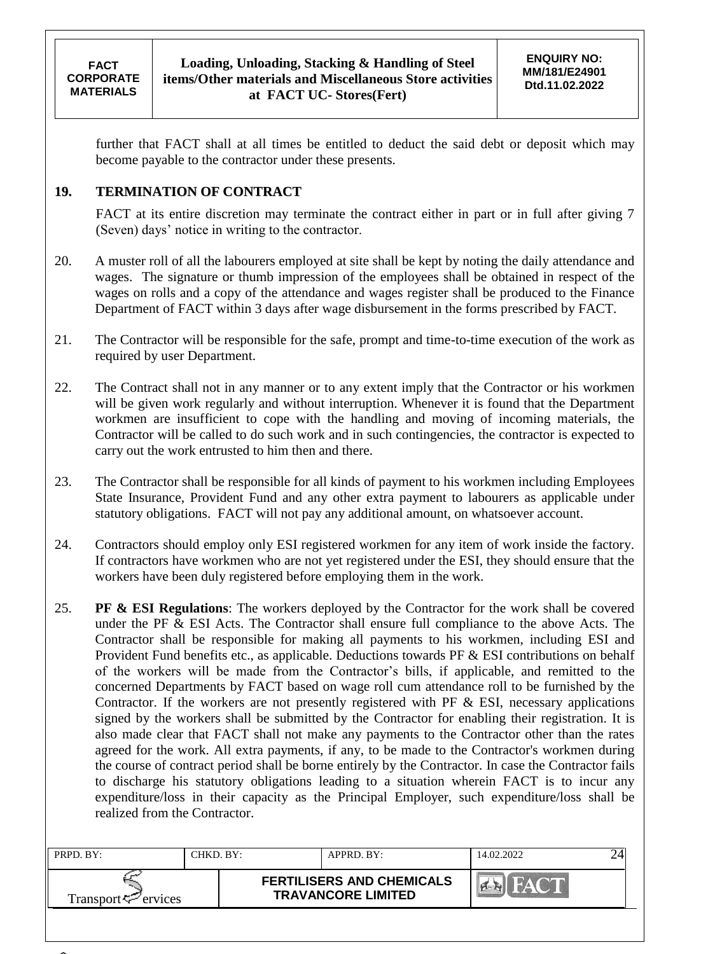further that FACT shall at all times be entitled to deduct the said debt or deposit which may become payable to the contractor under these presents.

# **19. TERMINATION OF CONTRACT**

FACT at its entire discretion may terminate the contract either in part or in full after giving 7 (Seven) days" notice in writing to the contractor.

- 20. A muster roll of all the labourers employed at site shall be kept by noting the daily attendance and wages. The signature or thumb impression of the employees shall be obtained in respect of the wages on rolls and a copy of the attendance and wages register shall be produced to the Finance Department of FACT within 3 days after wage disbursement in the forms prescribed by FACT.
- 21. The Contractor will be responsible for the safe, prompt and time-to-time execution of the work as required by user Department.
- 22. The Contract shall not in any manner or to any extent imply that the Contractor or his workmen will be given work regularly and without interruption. Whenever it is found that the Department workmen are insufficient to cope with the handling and moving of incoming materials, the Contractor will be called to do such work and in such contingencies, the contractor is expected to carry out the work entrusted to him then and there.
- 23. The Contractor shall be responsible for all kinds of payment to his workmen including Employees State Insurance, Provident Fund and any other extra payment to labourers as applicable under statutory obligations. FACT will not pay any additional amount, on whatsoever account.
- 24. Contractors should employ only ESI registered workmen for any item of work inside the factory. If contractors have workmen who are not yet registered under the ESI, they should ensure that the workers have been duly registered before employing them in the work.
- 25. **PF & ESI Regulations**: The workers deployed by the Contractor for the work shall be covered under the PF & ESI Acts. The Contractor shall ensure full compliance to the above Acts. The Contractor shall be responsible for making all payments to his workmen, including ESI and Provident Fund benefits etc., as applicable. Deductions towards PF & ESI contributions on behalf of the workers will be made from the Contractor"s bills, if applicable, and remitted to the concerned Departments by FACT based on wage roll cum attendance roll to be furnished by the Contractor. If the workers are not presently registered with PF & ESI, necessary applications signed by the workers shall be submitted by the Contractor for enabling their registration. It is also made clear that FACT shall not make any payments to the Contractor other than the rates agreed for the work. All extra payments, if any, to be made to the Contractor's workmen during the course of contract period shall be borne entirely by the Contractor. In case the Contractor fails to discharge his statutory obligations leading to a situation wherein FACT is to incur any expenditure/loss in their capacity as the Principal Employer, such expenditure/loss shall be realized from the Contractor.

| PRPD. BY:           | CHKD. BY: | $APPRD$ . BY:                                                 | 14.02.2022 |  |
|---------------------|-----------|---------------------------------------------------------------|------------|--|
| Transport <∠ervices |           | <b>FERTILISERS AND CHEMICALS</b><br><b>TRAVANCORE LIMITED</b> |            |  |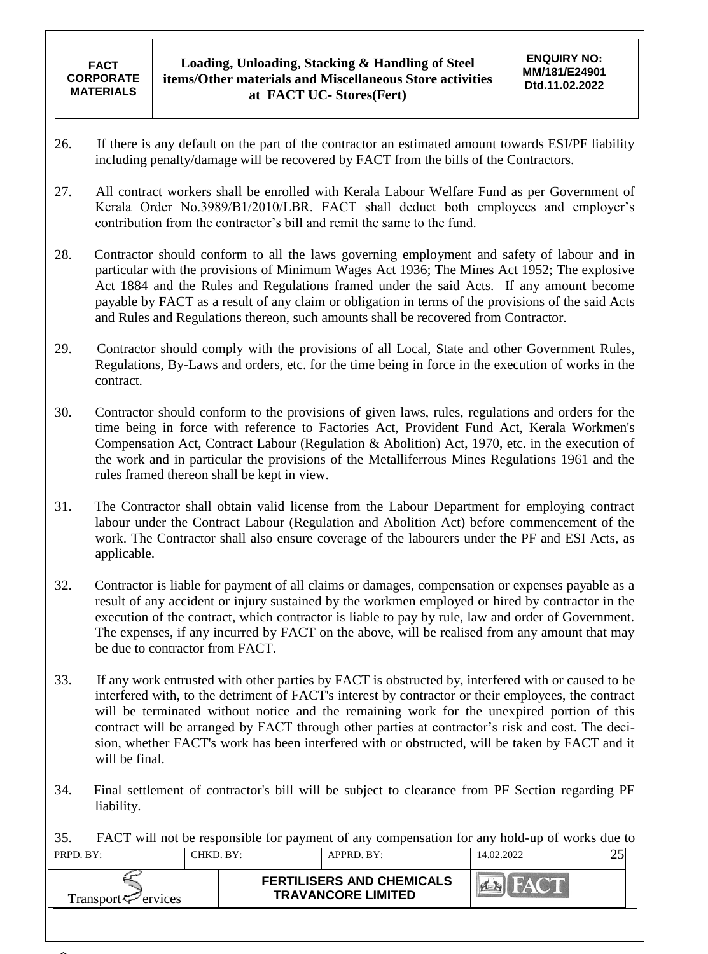- 26. If there is any default on the part of the contractor an estimated amount towards ESI/PF liability including penalty/damage will be recovered by FACT from the bills of the Contractors.
- 27. All contract workers shall be enrolled with Kerala Labour Welfare Fund as per Government of Kerala Order No.3989/B1/2010/LBR. FACT shall deduct both employees and employer's contribution from the contractor"s bill and remit the same to the fund.
- 28. Contractor should conform to all the laws governing employment and safety of labour and in particular with the provisions of Minimum Wages Act 1936; The Mines Act 1952; The explosive Act 1884 and the Rules and Regulations framed under the said Acts. If any amount become payable by FACT as a result of any claim or obligation in terms of the provisions of the said Acts and Rules and Regulations thereon, such amounts shall be recovered from Contractor.
- 29. Contractor should comply with the provisions of all Local, State and other Government Rules, Regulations, By-Laws and orders, etc. for the time being in force in the execution of works in the contract.
- 30. Contractor should conform to the provisions of given laws, rules, regulations and orders for the time being in force with reference to Factories Act, Provident Fund Act, Kerala Workmen's Compensation Act, Contract Labour (Regulation & Abolition) Act, 1970, etc. in the execution of the work and in particular the provisions of the Metalliferrous Mines Regulations 1961 and the rules framed thereon shall be kept in view.
- 31. The Contractor shall obtain valid license from the Labour Department for employing contract labour under the Contract Labour (Regulation and Abolition Act) before commencement of the work. The Contractor shall also ensure coverage of the labourers under the PF and ESI Acts, as applicable.
- 32. Contractor is liable for payment of all claims or damages, compensation or expenses payable as a result of any accident or injury sustained by the workmen employed or hired by contractor in the execution of the contract, which contractor is liable to pay by rule, law and order of Government. The expenses, if any incurred by FACT on the above, will be realised from any amount that may be due to contractor from FACT.
- 33. If any work entrusted with other parties by FACT is obstructed by, interfered with or caused to be interfered with, to the detriment of FACT's interest by contractor or their employees, the contract will be terminated without notice and the remaining work for the unexpired portion of this contract will be arranged by FACT through other parties at contractor's risk and cost. The decision, whether FACT's work has been interfered with or obstructed, will be taken by FACT and it will be final.
- 34. Final settlement of contractor's bill will be subject to clearance from PF Section regarding PF liability.
- 35. FACT will not be responsible for payment of any compensation for any hold-up of works due to

| PRPD. BY:                   | CHKD. BY: | APPRD. BY:                                                    | 14.02.2022 |  |
|-----------------------------|-----------|---------------------------------------------------------------|------------|--|
| Transport $\approx$ ervices |           | <b>FERTILISERS AND CHEMICALS</b><br><b>TRAVANCORE LIMITED</b> |            |  |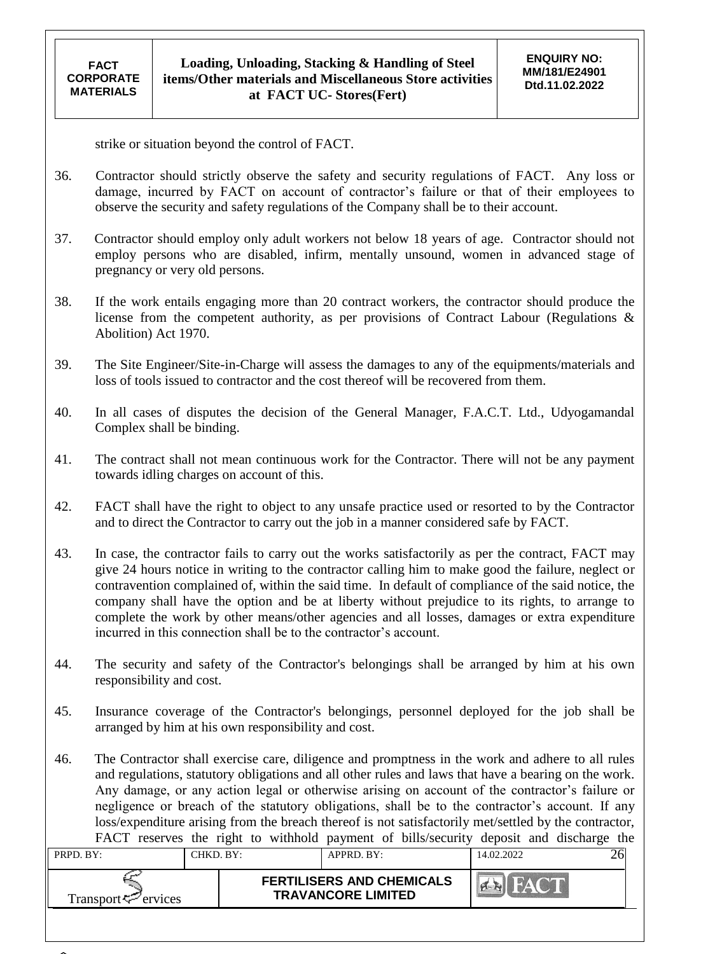strike or situation beyond the control of FACT.

- 36. Contractor should strictly observe the safety and security regulations of FACT. Any loss or damage, incurred by FACT on account of contractor's failure or that of their employees to observe the security and safety regulations of the Company shall be to their account.
- 37. Contractor should employ only adult workers not below 18 years of age. Contractor should not employ persons who are disabled, infirm, mentally unsound, women in advanced stage of pregnancy or very old persons.
- 38. If the work entails engaging more than 20 contract workers, the contractor should produce the license from the competent authority, as per provisions of Contract Labour (Regulations & Abolition) Act 1970.
- 39. The Site Engineer/Site-in-Charge will assess the damages to any of the equipments/materials and loss of tools issued to contractor and the cost thereof will be recovered from them.
- 40. In all cases of disputes the decision of the General Manager, F.A.C.T. Ltd., Udyogamandal Complex shall be binding.
- 41. The contract shall not mean continuous work for the Contractor. There will not be any payment towards idling charges on account of this.
- 42. FACT shall have the right to object to any unsafe practice used or resorted to by the Contractor and to direct the Contractor to carry out the job in a manner considered safe by FACT.
- 43. In case, the contractor fails to carry out the works satisfactorily as per the contract, FACT may give 24 hours notice in writing to the contractor calling him to make good the failure, neglect or contravention complained of, within the said time. In default of compliance of the said notice, the company shall have the option and be at liberty without prejudice to its rights, to arrange to complete the work by other means/other agencies and all losses, damages or extra expenditure incurred in this connection shall be to the contractor's account.
- 44. The security and safety of the Contractor's belongings shall be arranged by him at his own responsibility and cost.
- 45. Insurance coverage of the Contractor's belongings, personnel deployed for the job shall be arranged by him at his own responsibility and cost.
- 46. The Contractor shall exercise care, diligence and promptness in the work and adhere to all rules and regulations, statutory obligations and all other rules and laws that have a bearing on the work. Any damage, or any action legal or otherwise arising on account of the contractor's failure or negligence or breach of the statutory obligations, shall be to the contractor's account. If any loss/expenditure arising from the breach thereof is not satisfactorily met/settled by the contractor, FACT reserves the right to withhold payment of bills/security deposit and discharge the

|                             |           |                           |                                  |            | $\tilde{\phantom{a}}$ |
|-----------------------------|-----------|---------------------------|----------------------------------|------------|-----------------------|
| PRPD. BY:                   | CHKD. BY: |                           | APPRD. BY:                       | 14.02.2022 |                       |
| Transport $\approx$ ervices |           | <b>TRAVANCORE LIMITED</b> | <b>FERTILISERS AND CHEMICALS</b> | <b>AV</b>  |                       |
|                             |           |                           |                                  |            |                       |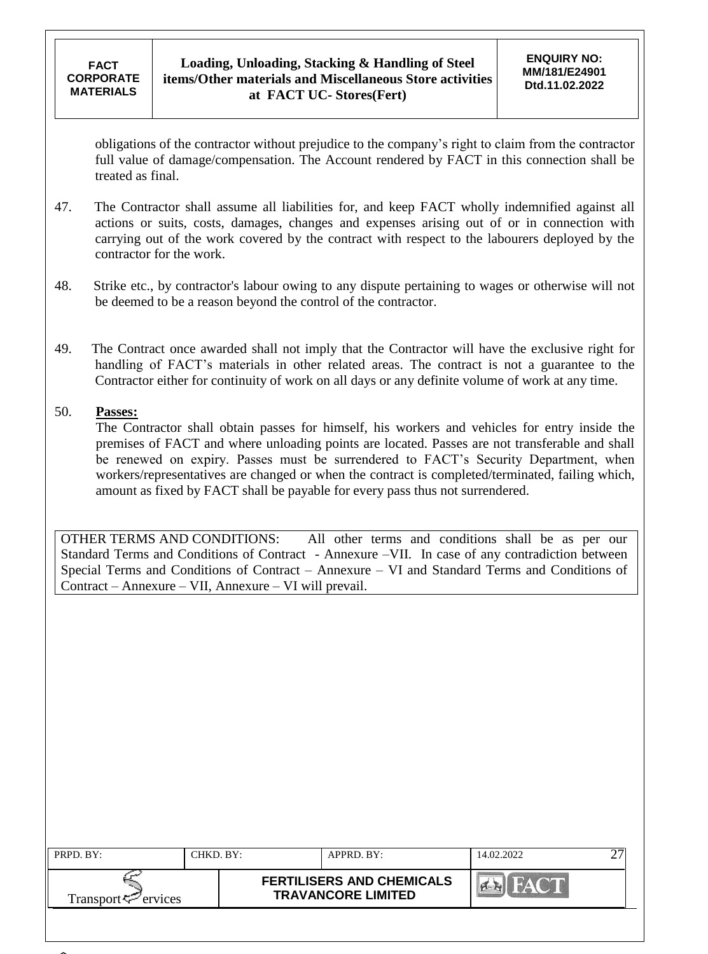obligations of the contractor without prejudice to the company"s right to claim from the contractor full value of damage/compensation. The Account rendered by FACT in this connection shall be treated as final.

- 47. The Contractor shall assume all liabilities for, and keep FACT wholly indemnified against all actions or suits, costs, damages, changes and expenses arising out of or in connection with carrying out of the work covered by the contract with respect to the labourers deployed by the contractor for the work.
- 48. Strike etc., by contractor's labour owing to any dispute pertaining to wages or otherwise will not be deemed to be a reason beyond the control of the contractor.
- 49. The Contract once awarded shall not imply that the Contractor will have the exclusive right for handling of FACT's materials in other related areas. The contract is not a guarantee to the Contractor either for continuity of work on all days or any definite volume of work at any time.

### 50. **Passes:**

The Contractor shall obtain passes for himself, his workers and vehicles for entry inside the premises of FACT and where unloading points are located. Passes are not transferable and shall be renewed on expiry. Passes must be surrendered to FACT"s Security Department, when workers/representatives are changed or when the contract is completed/terminated, failing which, amount as fixed by FACT shall be payable for every pass thus not surrendered.

OTHER TERMS AND CONDITIONS: All other terms and conditions shall be as per our Standard Terms and Conditions of Contract - Annexure –VII. In case of any contradiction between Special Terms and Conditions of Contract – Annexure – VI and Standard Terms and Conditions of Contract – Annexure – VII, Annexure – VI will prevail.

| PRPD. BY:                   | CHKD. BY: | APPRD. BY:                                                    | 14.02.2022                | ↩ |
|-----------------------------|-----------|---------------------------------------------------------------|---------------------------|---|
| Transport $\varphi$ ervices |           | <b>FERTILISERS AND CHEMICALS</b><br><b>TRAVANCORE LIMITED</b> | $\frac{1}{2}$ $\triangle$ |   |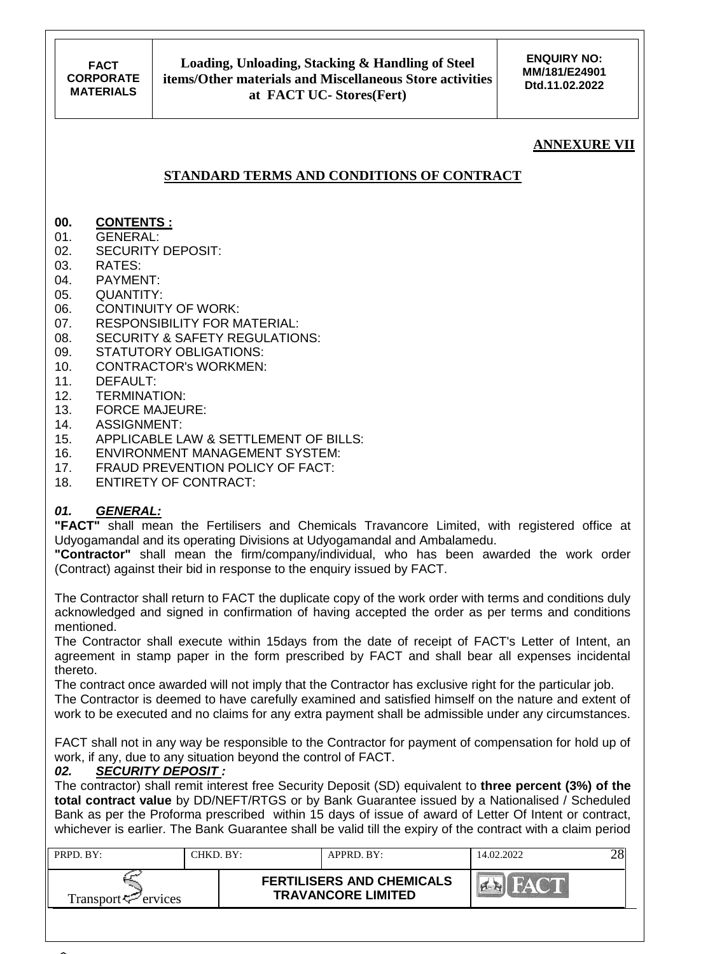## **ANNEXURE VII**

## **STANDARD TERMS AND CONDITIONS OF CONTRACT**

### **00. CONTENTS :**

- 01. GENERAL:
- 02. SECURITY DEPOSIT:
- 03. RATES:
- 04. PAYMENT:
- 05. QUANTITY:
- 06. CONTINUITY OF WORK:
- 07. RESPONSIBILITY FOR MATERIAL:
- 08. SECURITY & SAFETY REGULATIONS:
- 09. STATUTORY OBLIGATIONS:
- 10. CONTRACTOR's WORKMEN:
- 11. DEFAULT:
- 12. TERMINATION:
- 13. FORCE MAJEURE:
- 14. ASSIGNMENT:
- 15. APPLICABLE LAW & SETTLEMENT OF BILLS:
- 16. ENVIRONMENT MANAGEMENT SYSTEM:
- 17. FRAUD PREVENTION POLICY OF FACT:
- 18. ENTIRETY OF CONTRACT:

### *01. GENERAL:*

**"FACT"** shall mean the Fertilisers and Chemicals Travancore Limited, with registered office at Udyogamandal and its operating Divisions at Udyogamandal and Ambalamedu.

**"Contractor"** shall mean the firm/company/individual, who has been awarded the work order (Contract) against their bid in response to the enquiry issued by FACT.

The Contractor shall return to FACT the duplicate copy of the work order with terms and conditions duly acknowledged and signed in confirmation of having accepted the order as per terms and conditions mentioned.

The Contractor shall execute within 15days from the date of receipt of FACT's Letter of Intent, an agreement in stamp paper in the form prescribed by FACT and shall bear all expenses incidental thereto.

The contract once awarded will not imply that the Contractor has exclusive right for the particular job. The Contractor is deemed to have carefully examined and satisfied himself on the nature and extent of work to be executed and no claims for any extra payment shall be admissible under any circumstances.

FACT shall not in any way be responsible to the Contractor for payment of compensation for hold up of work, if any, due to any situation beyond the control of FACT.<br>02. SECURITY DEPOSIT:

#### *02. SECURITY DEPOSIT :*

The contractor) shall remit interest free Security Deposit (SD) equivalent to **three percent (3%) of the total contract value** by DD/NEFT/RTGS or by Bank Guarantee issued by a Nationalised / Scheduled Bank as per the Proforma prescribed within 15 days of issue of award of Letter Of Intent or contract, whichever is earlier. The Bank Guarantee shall be valid till the expiry of the contract with a claim period

| PRPD BY:                       | CHKD. BY:- | APPRD. BY:                                                    | 14.02.2022 |  |
|--------------------------------|------------|---------------------------------------------------------------|------------|--|
| Transport <sup>7</sup> ervices |            | <b>FERTILISERS AND CHEMICALS</b><br><b>TRAVANCORE LIMITED</b> |            |  |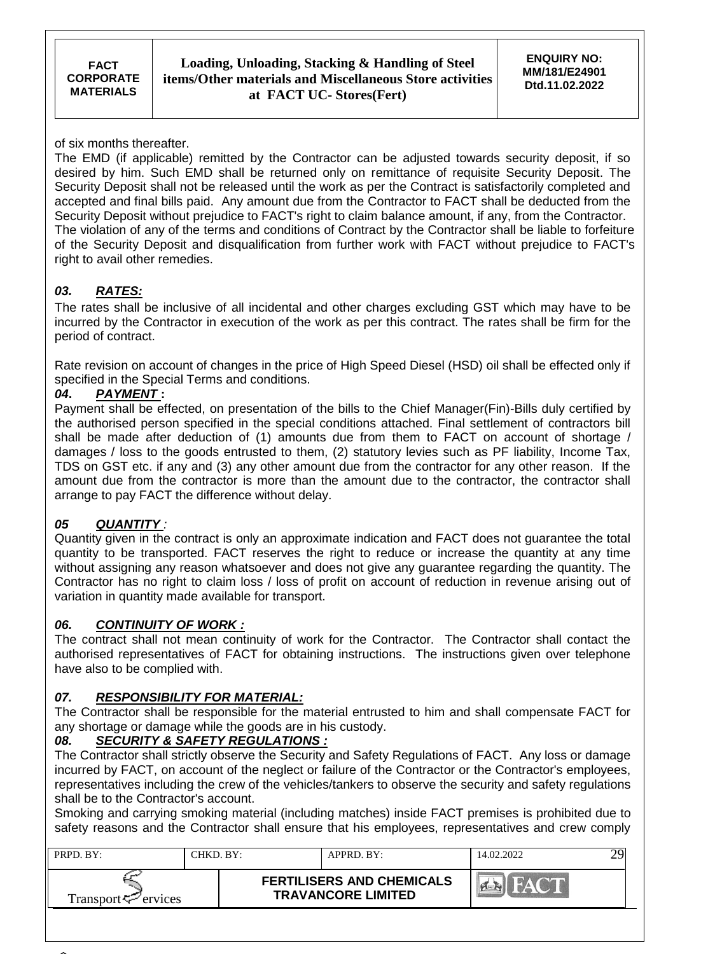of six months thereafter.

The EMD (if applicable) remitted by the Contractor can be adjusted towards security deposit, if so desired by him. Such EMD shall be returned only on remittance of requisite Security Deposit. The Security Deposit shall not be released until the work as per the Contract is satisfactorily completed and accepted and final bills paid. Any amount due from the Contractor to FACT shall be deducted from the Security Deposit without prejudice to FACT's right to claim balance amount, if any, from the Contractor. The violation of any of the terms and conditions of Contract by the Contractor shall be liable to forfeiture of the Security Deposit and disqualification from further work with FACT without prejudice to FACT's right to avail other remedies.

# *03. RATES:*

The rates shall be inclusive of all incidental and other charges excluding GST which may have to be incurred by the Contractor in execution of the work as per this contract. The rates shall be firm for the period of contract.

Rate revision on account of changes in the price of High Speed Diesel (HSD) oil shall be effected only if specified in the Special Terms and conditions.

### *04***.** *PAYMENT* **:**

Payment shall be effected, on presentation of the bills to the Chief Manager(Fin)-Bills duly certified by the authorised person specified in the special conditions attached. Final settlement of contractors bill shall be made after deduction of (1) amounts due from them to FACT on account of shortage / damages / loss to the goods entrusted to them, (2) statutory levies such as PF liability, Income Tax, TDS on GST etc. if any and (3) any other amount due from the contractor for any other reason. If the amount due from the contractor is more than the amount due to the contractor, the contractor shall arrange to pay FACT the difference without delay.

### *05 QUANTITY :*

Quantity given in the contract is only an approximate indication and FACT does not guarantee the total quantity to be transported. FACT reserves the right to reduce or increase the quantity at any time without assigning any reason whatsoever and does not give any guarantee regarding the quantity. The Contractor has no right to claim loss / loss of profit on account of reduction in revenue arising out of variation in quantity made available for transport.

### *06. CONTINUITY OF WORK :*

The contract shall not mean continuity of work for the Contractor. The Contractor shall contact the authorised representatives of FACT for obtaining instructions. The instructions given over telephone have also to be complied with.

### *07. RESPONSIBILITY FOR MATERIAL:*

The Contractor shall be responsible for the material entrusted to him and shall compensate FACT for any shortage or damage while the goods are in his custody.

### *08. SECURITY & SAFETY REGULATIONS :*

The Contractor shall strictly observe the Security and Safety Regulations of FACT. Any loss or damage incurred by FACT, on account of the neglect or failure of the Contractor or the Contractor's employees, representatives including the crew of the vehicles/tankers to observe the security and safety regulations shall be to the Contractor's account.

Smoking and carrying smoking material (including matches) inside FACT premises is prohibited due to safety reasons and the Contractor shall ensure that his employees, representatives and crew comply

| PRPD, BY:           | CHKD. BY: | APPRD. BY:                                                    | 14.02.2022   |  |
|---------------------|-----------|---------------------------------------------------------------|--------------|--|
| Transport <∠ervices |           | <b>FERTILISERS AND CHEMICALS</b><br><b>TRAVANCORE LIMITED</b> | $M^{\prime}$ |  |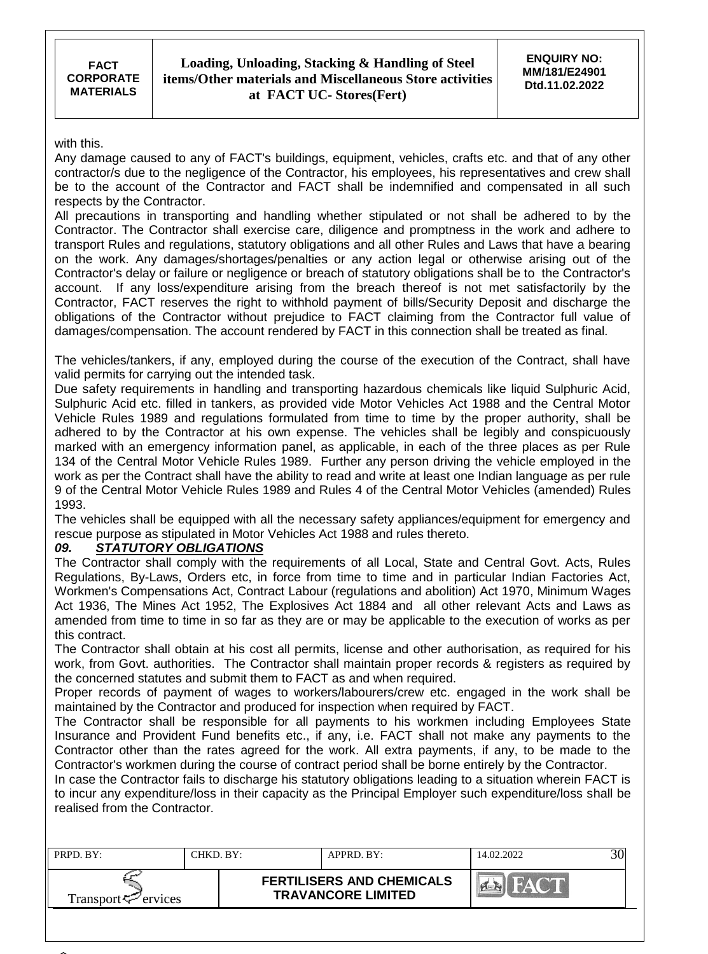with this.

Any damage caused to any of FACT's buildings, equipment, vehicles, crafts etc. and that of any other contractor/s due to the negligence of the Contractor, his employees, his representatives and crew shall be to the account of the Contractor and FACT shall be indemnified and compensated in all such respects by the Contractor.

All precautions in transporting and handling whether stipulated or not shall be adhered to by the Contractor. The Contractor shall exercise care, diligence and promptness in the work and adhere to transport Rules and regulations, statutory obligations and all other Rules and Laws that have a bearing on the work. Any damages/shortages/penalties or any action legal or otherwise arising out of the Contractor's delay or failure or negligence or breach of statutory obligations shall be to the Contractor's account. If any loss/expenditure arising from the breach thereof is not met satisfactorily by the Contractor, FACT reserves the right to withhold payment of bills/Security Deposit and discharge the obligations of the Contractor without prejudice to FACT claiming from the Contractor full value of damages/compensation. The account rendered by FACT in this connection shall be treated as final.

The vehicles/tankers, if any, employed during the course of the execution of the Contract, shall have valid permits for carrying out the intended task.

Due safety requirements in handling and transporting hazardous chemicals like liquid Sulphuric Acid, Sulphuric Acid etc. filled in tankers, as provided vide Motor Vehicles Act 1988 and the Central Motor Vehicle Rules 1989 and regulations formulated from time to time by the proper authority, shall be adhered to by the Contractor at his own expense. The vehicles shall be legibly and conspicuously marked with an emergency information panel, as applicable, in each of the three places as per Rule 134 of the Central Motor Vehicle Rules 1989. Further any person driving the vehicle employed in the work as per the Contract shall have the ability to read and write at least one Indian language as per rule 9 of the Central Motor Vehicle Rules 1989 and Rules 4 of the Central Motor Vehicles (amended) Rules 1993.

The vehicles shall be equipped with all the necessary safety appliances/equipment for emergency and rescue purpose as stipulated in Motor Vehicles Act 1988 and rules thereto.

#### *09. STATUTORY OBLIGATIONS*

The Contractor shall comply with the requirements of all Local, State and Central Govt. Acts, Rules Regulations, By-Laws, Orders etc, in force from time to time and in particular Indian Factories Act, Workmen's Compensations Act, Contract Labour (regulations and abolition) Act 1970, Minimum Wages Act 1936, The Mines Act 1952, The Explosives Act 1884 and all other relevant Acts and Laws as amended from time to time in so far as they are or may be applicable to the execution of works as per this contract.

The Contractor shall obtain at his cost all permits, license and other authorisation, as required for his work, from Govt. authorities. The Contractor shall maintain proper records & registers as required by the concerned statutes and submit them to FACT as and when required.

Proper records of payment of wages to workers/labourers/crew etc. engaged in the work shall be maintained by the Contractor and produced for inspection when required by FACT.

The Contractor shall be responsible for all payments to his workmen including Employees State Insurance and Provident Fund benefits etc., if any, i.e. FACT shall not make any payments to the Contractor other than the rates agreed for the work. All extra payments, if any, to be made to the Contractor's workmen during the course of contract period shall be borne entirely by the Contractor.

In case the Contractor fails to discharge his statutory obligations leading to a situation wherein FACT is to incur any expenditure/loss in their capacity as the Principal Employer such expenditure/loss shall be realised from the Contractor.

| PRPD. BY:                       | "HKD. BY: | APPRD. BY:                                                    | 14.02.2022 |  |
|---------------------------------|-----------|---------------------------------------------------------------|------------|--|
| Transport <sup>ry</sup> ervices |           | <b>FERTILISERS AND CHEMICALS</b><br><b>TRAVANCORE LIMITED</b> |            |  |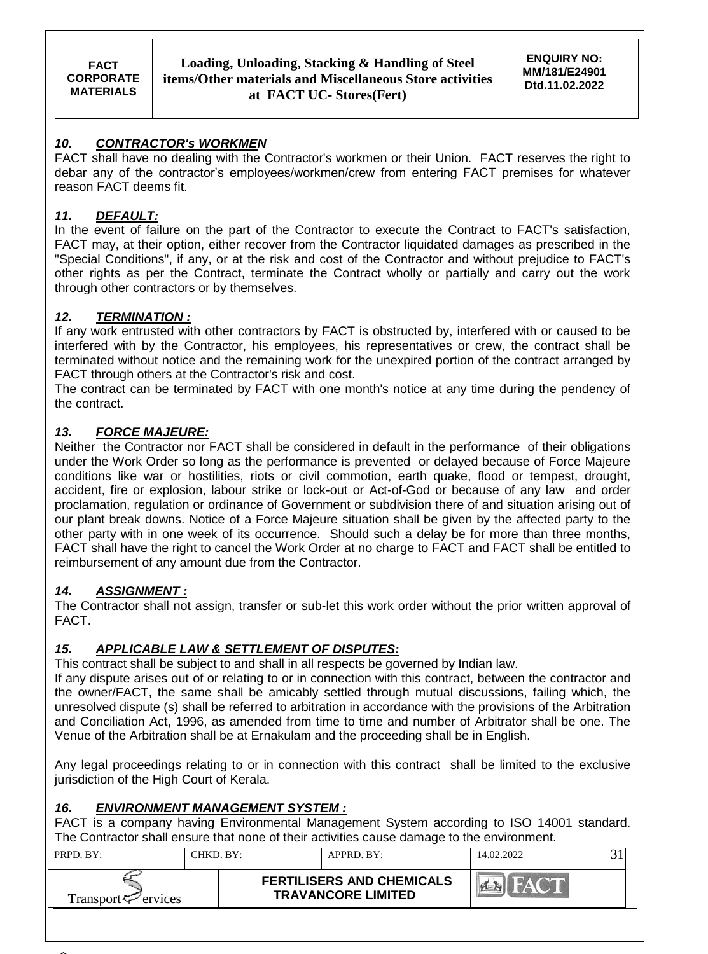### *10. CONTRACTOR's WORKMEN*

FACT shall have no dealing with the Contractor's workmen or their Union. FACT reserves the right to debar any of the contractor's employees/workmen/crew from entering FACT premises for whatever reason FACT deems fit.

### *11. DEFAULT:*

In the event of failure on the part of the Contractor to execute the Contract to FACT's satisfaction, FACT may, at their option, either recover from the Contractor liquidated damages as prescribed in the "Special Conditions", if any, or at the risk and cost of the Contractor and without prejudice to FACT's other rights as per the Contract, terminate the Contract wholly or partially and carry out the work through other contractors or by themselves.

### *12. TERMINATION :*

If any work entrusted with other contractors by FACT is obstructed by, interfered with or caused to be interfered with by the Contractor, his employees, his representatives or crew, the contract shall be terminated without notice and the remaining work for the unexpired portion of the contract arranged by FACT through others at the Contractor's risk and cost.

The contract can be terminated by FACT with one month's notice at any time during the pendency of the contract.

### *13. FORCE MAJEURE:*

Neither the Contractor nor FACT shall be considered in default in the performance of their obligations under the Work Order so long as the performance is prevented or delayed because of Force Majeure conditions like war or hostilities, riots or civil commotion, earth quake, flood or tempest, drought, accident, fire or explosion, labour strike or lock-out or Act-of-God or because of any law and order proclamation, regulation or ordinance of Government or subdivision there of and situation arising out of our plant break downs. Notice of a Force Majeure situation shall be given by the affected party to the other party with in one week of its occurrence. Should such a delay be for more than three months, FACT shall have the right to cancel the Work Order at no charge to FACT and FACT shall be entitled to reimbursement of any amount due from the Contractor.

### *14. ASSIGNMENT :*

The Contractor shall not assign, transfer or sub-let this work order without the prior written approval of FACT.

### *15. APPLICABLE LAW & SETTLEMENT OF DISPUTES:*

This contract shall be subject to and shall in all respects be governed by Indian law.

If any dispute arises out of or relating to or in connection with this contract, between the contractor and the owner/FACT, the same shall be amicably settled through mutual discussions, failing which, the unresolved dispute (s) shall be referred to arbitration in accordance with the provisions of the Arbitration and Conciliation Act, 1996, as amended from time to time and number of Arbitrator shall be one. The Venue of the Arbitration shall be at Ernakulam and the proceeding shall be in English.

Any legal proceedings relating to or in connection with this contract shall be limited to the exclusive jurisdiction of the High Court of Kerala.

#### *16. ENVIRONMENT MANAGEMENT SYSTEM :*

FACT is a company having Environmental Management System according to ISO 14001 standard. The Contractor shall ensure that none of their activities cause damage to the environment.

| $PRPD$ $BY:$                | CHKD. BY:- | APPRD. BY:                                                    | 14.02.2022      |  |
|-----------------------------|------------|---------------------------------------------------------------|-----------------|--|
| Transport $\approx$ ervices |            | <b>FERTILISERS AND CHEMICALS</b><br><b>TRAVANCORE LIMITED</b> | $H \triangle V$ |  |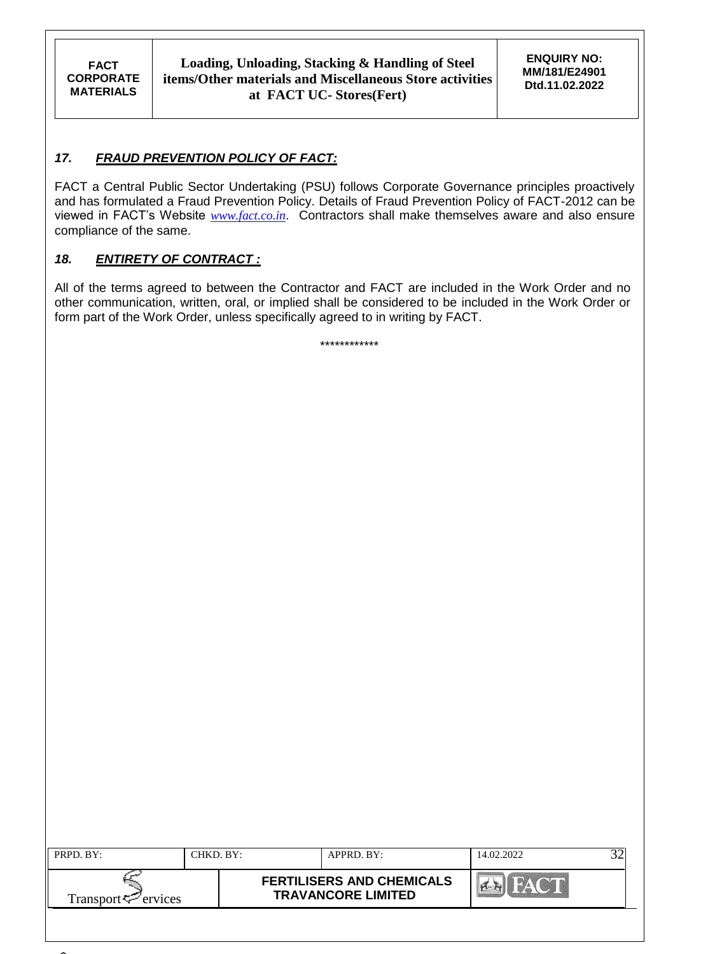## *17. FRAUD PREVENTION POLICY OF FACT:*

FACT a Central Public Sector Undertaking (PSU) follows Corporate Governance principles proactively and has formulated a Fraud Prevention Policy. Details of Fraud Prevention Policy of FACT-2012 can be viewed in FACT's Website *[www.fact.co.in](http://www.fact.co.in/)*. Contractors shall make themselves aware and also ensure compliance of the same.

### *18. ENTIRETY OF CONTRACT :*

All of the terms agreed to between the Contractor and FACT are included in the Work Order and no other communication, written, oral, or implied shall be considered to be included in the Work Order or form part of the Work Order, unless specifically agreed to in writing by FACT.

\*\*\*\*\*\*\*\*\*\*\*\*

| PRPD. BY:                       | CHKD. BY: | APPRD. BY:                                                    | 14.02.2022 |  |
|---------------------------------|-----------|---------------------------------------------------------------|------------|--|
| Transport <sup>ry</sup> ervices |           | <b>FERTILISERS AND CHEMICALS</b><br><b>TRAVANCORE LIMITED</b> | HAC'T      |  |
|                                 |           |                                                               |            |  |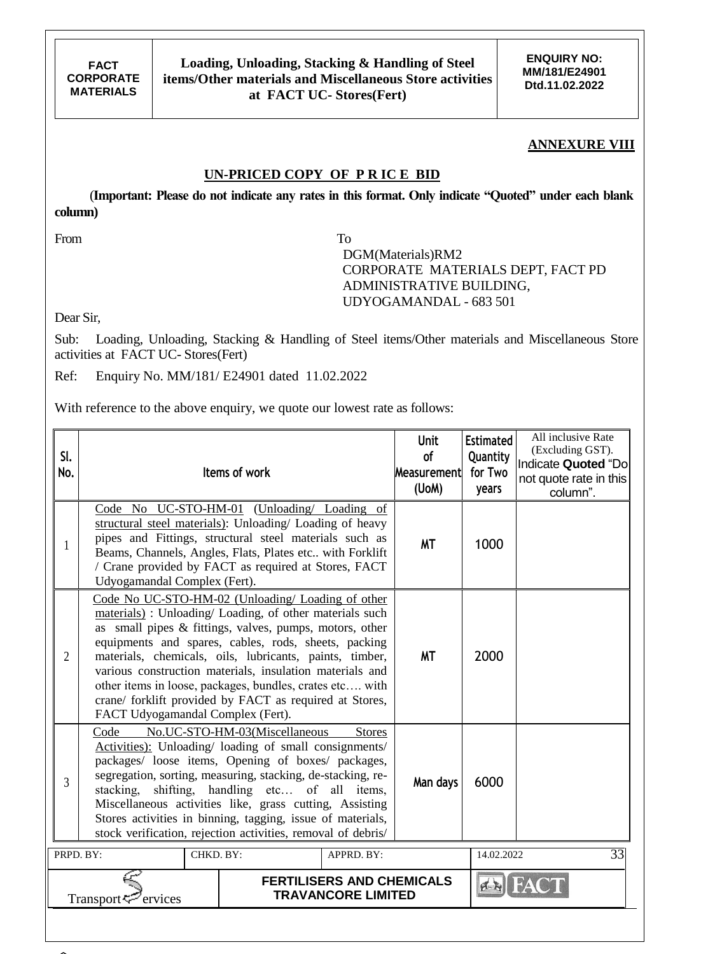**ENQUIRY NO: MM/181/E24901 Dtd.11.02.2022**

#### **ANNEXURE VIII**

#### **UN-PRICED COPY OF P R IC E BID**

 (**Important: Please do not indicate any rates in this format. Only indicate "Quoted" under each blank column)**

From To

 DGM(Materials)RM2 CORPORATE MATERIALS DEPT, FACT PD ADMINISTRATIVE BUILDING, UDYOGAMANDAL - 683 501

Dear Sir,

Sub: Loading, Unloading, Stacking & Handling of Steel items/Other materials and Miscellaneous Store activities at FACT UC- Stores(Fert)

Ref: Enquiry No. MM/181/ E24901 dated 11.02.2022

With reference to the above enquiry, we quote our lowest rate as follows:

| Code No UC-STO-HM-01 (Unloading Loading of<br>structural steel materials): Unloading/ Loading of heavy<br>pipes and Fittings, structural steel materials such as<br><b>MT</b><br>1000<br>1<br>Beams, Channels, Angles, Flats, Plates etc with Forklift<br>/ Crane provided by FACT as required at Stores, FACT<br>Udyogamandal Complex (Fert).<br>Code No UC-STO-HM-02 (Unloading/ Loading of other<br>materials): Unloading/Loading, of other materials such<br>as small pipes & fittings, valves, pumps, motors, other<br>equipments and spares, cables, rods, sheets, packing<br><b>MT</b><br>2000<br>$\overline{2}$<br>materials, chemicals, oils, lubricants, paints, timber,<br>various construction materials, insulation materials and<br>other items in loose, packages, bundles, crates etc with<br>crane/ forklift provided by FACT as required at Stores,<br>FACT Udyogamandal Complex (Fert).<br>No.UC-STO-HM-03(Miscellaneous<br>Code<br><b>Stores</b><br>Activities): Unloading/ loading of small consignments/<br>packages/ loose items, Opening of boxes/ packages,<br>segregation, sorting, measuring, stacking, de-stacking, re-<br>6000<br>$\overline{3}$<br>Man days<br>shifting, handling etc of all items,<br>stacking,<br>Miscellaneous activities like, grass cutting, Assisting<br>Stores activities in binning, tagging, issue of materials,<br>stock verification, rejection activities, removal of debris/<br>33<br>CHKD. BY:<br>PRPD. BY:<br>APPRD. BY:<br>14.02.2022<br><b>FERTILISERS AND CHEMICALS</b> | SI.<br>No. |  | Items of work | <b>Unit</b><br>of<br>Measurement<br>(UoM) | <b>Estimated</b><br>Quantity<br>for Two<br>years | All inclusive Rate<br>(Excluding GST).<br>Indicate Quoted "Do<br>not quote rate in this<br>column". |  |
|-----------------------------------------------------------------------------------------------------------------------------------------------------------------------------------------------------------------------------------------------------------------------------------------------------------------------------------------------------------------------------------------------------------------------------------------------------------------------------------------------------------------------------------------------------------------------------------------------------------------------------------------------------------------------------------------------------------------------------------------------------------------------------------------------------------------------------------------------------------------------------------------------------------------------------------------------------------------------------------------------------------------------------------------------------------------------------------------------------------------------------------------------------------------------------------------------------------------------------------------------------------------------------------------------------------------------------------------------------------------------------------------------------------------------------------------------------------------------------------------------------------------------------------------|------------|--|---------------|-------------------------------------------|--------------------------------------------------|-----------------------------------------------------------------------------------------------------|--|
|                                                                                                                                                                                                                                                                                                                                                                                                                                                                                                                                                                                                                                                                                                                                                                                                                                                                                                                                                                                                                                                                                                                                                                                                                                                                                                                                                                                                                                                                                                                                         |            |  |               |                                           |                                                  |                                                                                                     |  |
|                                                                                                                                                                                                                                                                                                                                                                                                                                                                                                                                                                                                                                                                                                                                                                                                                                                                                                                                                                                                                                                                                                                                                                                                                                                                                                                                                                                                                                                                                                                                         |            |  |               |                                           |                                                  |                                                                                                     |  |
|                                                                                                                                                                                                                                                                                                                                                                                                                                                                                                                                                                                                                                                                                                                                                                                                                                                                                                                                                                                                                                                                                                                                                                                                                                                                                                                                                                                                                                                                                                                                         |            |  |               |                                           |                                                  |                                                                                                     |  |
|                                                                                                                                                                                                                                                                                                                                                                                                                                                                                                                                                                                                                                                                                                                                                                                                                                                                                                                                                                                                                                                                                                                                                                                                                                                                                                                                                                                                                                                                                                                                         |            |  |               |                                           |                                                  |                                                                                                     |  |
| <b>TRAVANCORE LIMITED</b><br>Transport<br>ervices                                                                                                                                                                                                                                                                                                                                                                                                                                                                                                                                                                                                                                                                                                                                                                                                                                                                                                                                                                                                                                                                                                                                                                                                                                                                                                                                                                                                                                                                                       |            |  |               |                                           |                                                  |                                                                                                     |  |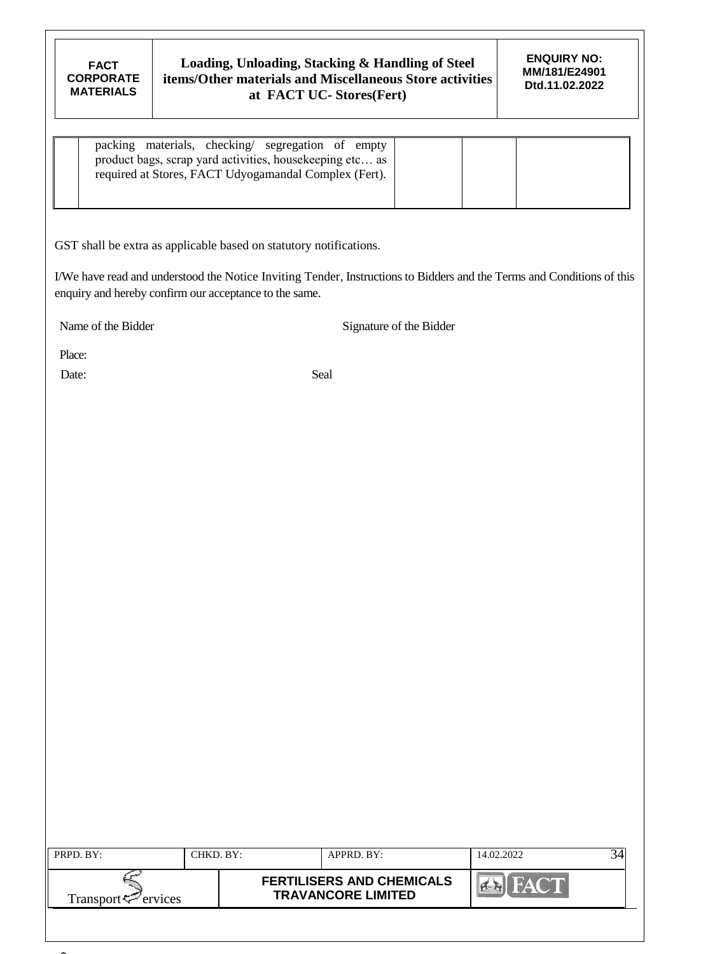| packing materials, checking/ segregation of empty<br>product bags, scrap yard activities, housekeeping etc as<br>required at Stores, FACT Udyogamandal Complex (Fert). |  |
|------------------------------------------------------------------------------------------------------------------------------------------------------------------------|--|
|                                                                                                                                                                        |  |

GST shall be extra as applicable based on statutory notifications.

I/We have read and understood the Notice Inviting Tender, Instructions to Bidders and the Terms and Conditions of this enquiry and hereby confirm our acceptance to the same.

Name of the Bidder Signature of the Bidder

Place:

Date: Seal

| PRPD. BY:                      | CHKD. BY: | APPRD. BY:                                                    | 14.02.2022     |  |
|--------------------------------|-----------|---------------------------------------------------------------|----------------|--|
| Transport <sup>7</sup> ervices |           | <b>FERTILISERS AND CHEMICALS</b><br><b>TRAVANCORE LIMITED</b> | <b>Y GMI D</b> |  |
|                                |           |                                                               |                |  |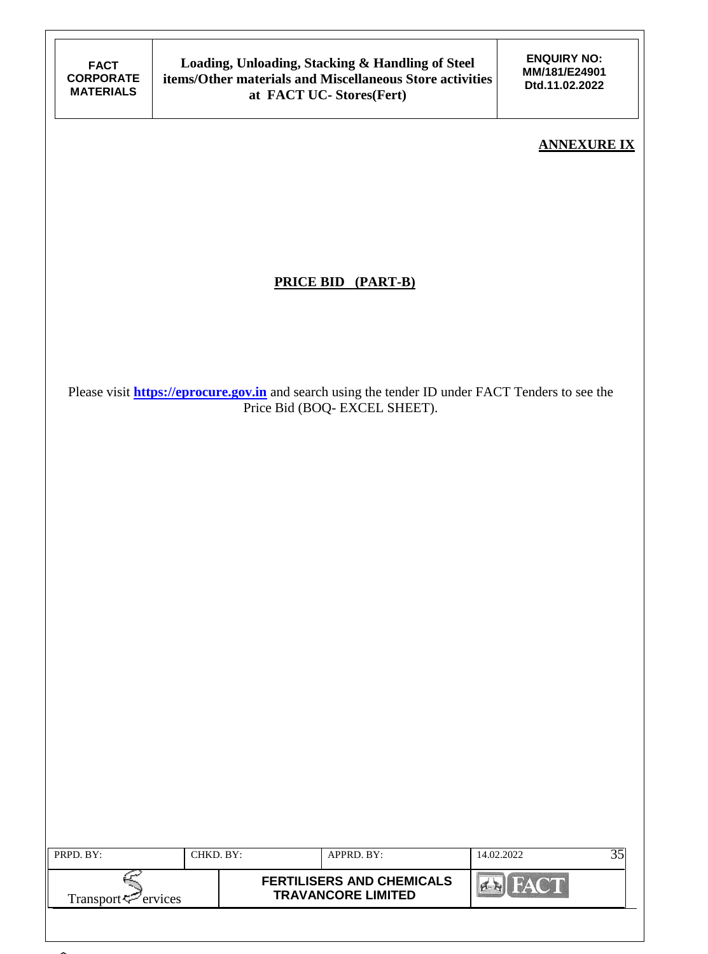**ENQUIRY NO: MM/181/E24901 Dtd.11.02.2022**

### **ANNEXURE IX**

# **PRICE BID (PART-B)**

Please visit **[https://eprocure.gov.in](https://eprocure.gov.in/)** and search using the tender ID under FACT Tenders to see the Price Bid (BOQ- EXCEL SHEET).

| PRPD. BY:                      | CHKD. BY: |                                                               | APPRD. BY: | 14.02.2022 |  |
|--------------------------------|-----------|---------------------------------------------------------------|------------|------------|--|
| Transport <sup>7</sup> ervices |           | <b>FERTILISERS AND CHEMICALS</b><br><b>TRAVANCORE LIMITED</b> | FAT        |            |  |
|                                |           |                                                               |            |            |  |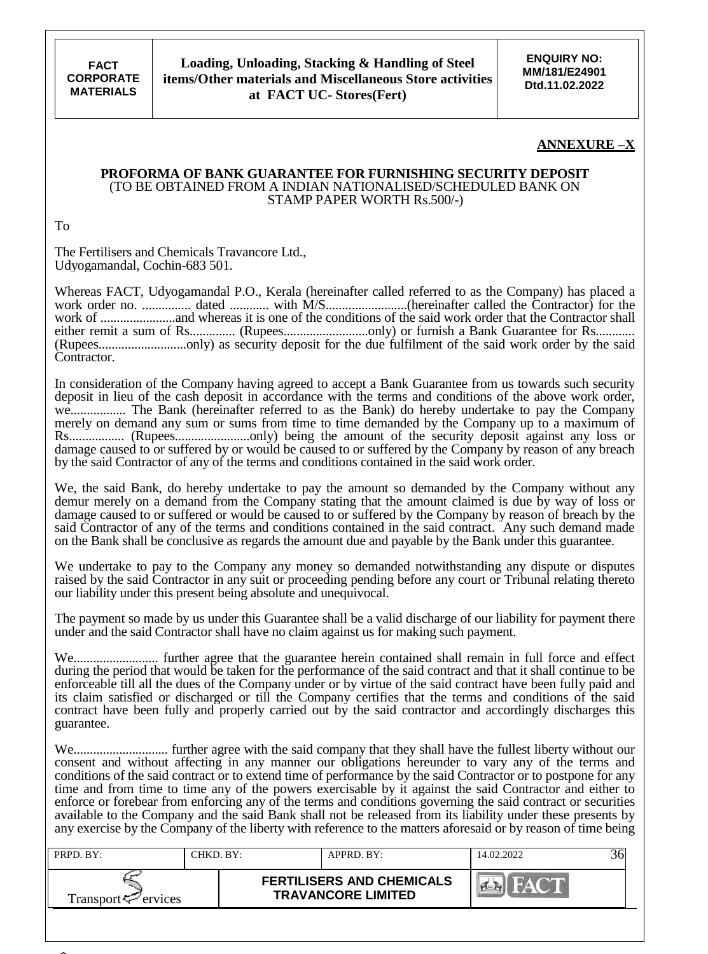**ENQUIRY NO: MM/181/E24901 Dtd.11.02.2022**

#### **ANNEXURE –X**

#### **PROFORMA OF BANK GUARANTEE FOR FURNISHING SECURITY DEPOSIT** (TO BE OBTAINED FROM A INDIAN NATIONALISED/SCHEDULED BANK ON STAMP PAPER WORTH Rs.500/-)

To

The Fertilisers and Chemicals Travancore Ltd., Udyogamandal, Cochin-683 501.

Whereas FACT, Udyogamandal P.O., Kerala (hereinafter called referred to as the Company) has placed a work order no. ............... dated ............ with M/S.........................(hereinafter called the Contractor) for the work of .......................and whereas it is one of the conditions of the said work order that the Contractor shall either remit a sum of Rs.............. (Rupees..........................only) or furnish a Bank Guarantee for Rs............ (Rupees...........................only) as security deposit for the due fulfilment of the said work order by the said Contractor.

In consideration of the Company having agreed to accept a Bank Guarantee from us towards such security deposit in lieu of the cash deposit in accordance with the terms and conditions of the above work order, we................. The Bank (hereinafter referred to as the Bank) do hereby undertake to pay the Company merely on demand any sum or sums from time to time demanded by the Company up to a maximum of Rs................. (Rupees.......................only) being the amount of the security deposit against any loss or damage caused to or suffered by or would be caused to or suffered by the Company by reason of any breach by the said Contractor of any of the terms and conditions contained in the said work order.

We, the said Bank, do hereby undertake to pay the amount so demanded by the Company without any demur merely on a demand from the Company stating that the amount claimed is due by way of loss or damage caused to or suffered or would be caused to or suffered by the Company by reason of breach by the said Contractor of any of the terms and conditions contained in the said contract. Any such demand made on the Bank shall be conclusive as regards the amount due and payable by the Bank under this guarantee.

We undertake to pay to the Company any money so demanded notwithstanding any dispute or disputes raised by the said Contractor in any suit or proceeding pending before any court or Tribunal relating thereto our liability under this present being absolute and unequivocal.

The payment so made by us under this Guarantee shall be a valid discharge of our liability for payment there under and the said Contractor shall have no claim against us for making such payment.

We.......................... further agree that the guarantee herein contained shall remain in full force and effect during the period that would be taken for the performance of the said contract and that it shall continue to be enforceable till all the dues of the Company under or by virtue of the said contract have been fully paid and its claim satisfied or discharged or till the Company certifies that the terms and conditions of the said contract have been fully and properly carried out by the said contractor and accordingly discharges this guarantee.

We............................. further agree with the said company that they shall have the fullest liberty without our consent and without affecting in any manner our obligations hereunder to vary any of the terms and conditions of the said contract or to extend time of performance by the said Contractor or to postpone for any time and from time to time any of the powers exercisable by it against the said Contractor and either to enforce or forebear from enforcing any of the terms and conditions governing the said contract or securities available to the Company and the said Bank shall not be released from its liability under these presents by any exercise by the Company of the liberty with reference to the matters aforesaid or by reason of time being

| PRPD, BY:           | CHKD. BY:- | APPRD. BY:                                                    | 14.02.2022 |  |
|---------------------|------------|---------------------------------------------------------------|------------|--|
| Transport < Frances |            | <b>FERTILISERS AND CHEMICALS</b><br><b>TRAVANCORE LIMITED</b> |            |  |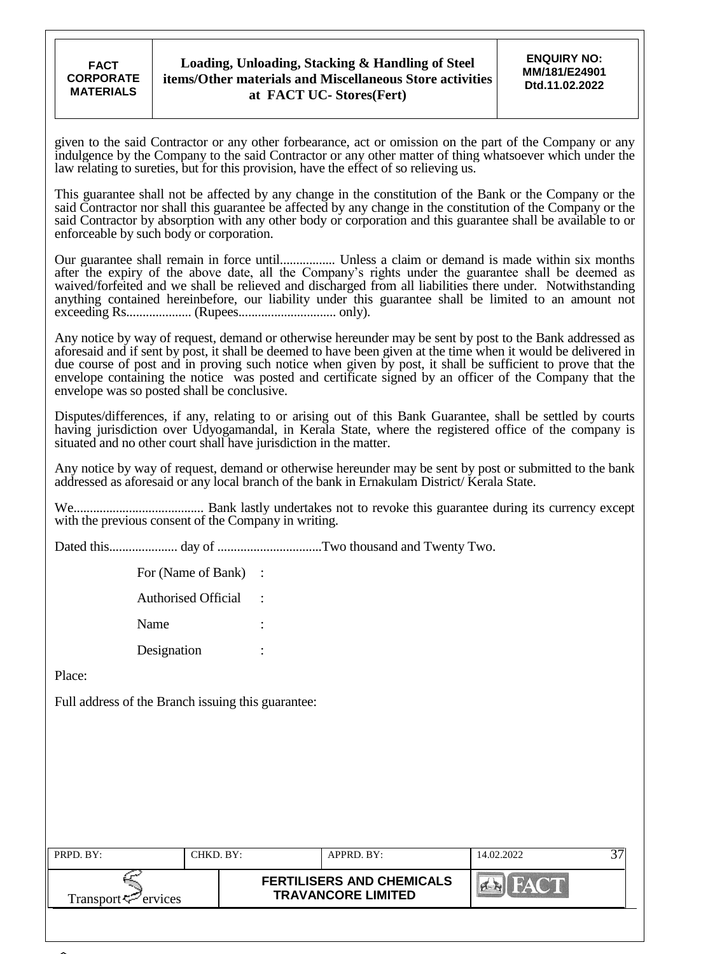**FACT CORPORATE MATERIALS**

given to the said Contractor or any other forbearance, act or omission on the part of the Company or any indulgence by the Company to the said Contractor or any other matter of thing whatsoever which under the law relating to sureties, but for this provision, have the effect of so relieving us.

This guarantee shall not be affected by any change in the constitution of the Bank or the Company or the said Contractor nor shall this guarantee be affected by any change in the constitution of the Company or the said Contractor by absorption with any other body or corporation and this guarantee shall be available to or enforceable by such body or corporation.

Our guarantee shall remain in force until................. Unless a claim or demand is made within six months after the expiry of the above date, all the Company's rights under the guarantee shall be deemed as waived/forfeited and we shall be relieved and discharged from all liabilities there under. Notwithstanding anything contained hereinbefore, our liability under this guarantee shall be limited to an amount not exceeding Rs.................... (Rupees.............................. only).

Any notice by way of request, demand or otherwise hereunder may be sent by post to the Bank addressed as aforesaid and if sent by post, it shall be deemed to have been given at the time when it would be delivered in due course of post and in proving such notice when given by post, it shall be sufficient to prove that the envelope containing the notice was posted and certificate signed by an officer of the Company that the envelope was so posted shall be conclusive.

Disputes/differences, if any, relating to or arising out of this Bank Guarantee, shall be settled by courts having jurisdiction over Udyogamandal, in Kerala State, where the registered office of the company is situated and no other court shall have jurisdiction in the matter.

Any notice by way of request, demand or otherwise hereunder may be sent by post or submitted to the bank addressed as aforesaid or any local branch of the bank in Ernakulam District/ Kerala State.

We........................................ Bank lastly undertakes not to revoke this guarantee during its currency except with the previous consent of the Company in writing.

Dated this..................... day of ................................Two thousand and Twenty Two.

For (Name of Bank) : Authorised Official : Name Designation :

Place:

Full address of the Branch issuing this guarantee:

| PRPD. BY:                       | CHKD. BY: | APPRD. BY:                                                    | 14.02.2022   |  |
|---------------------------------|-----------|---------------------------------------------------------------|--------------|--|
| Transport <sup>ry</sup> ervices |           | <b>FERTILISERS AND CHEMICALS</b><br><b>TRAVANCORE LIMITED</b> | $\mathbf{A}$ |  |
|                                 |           |                                                               |              |  |